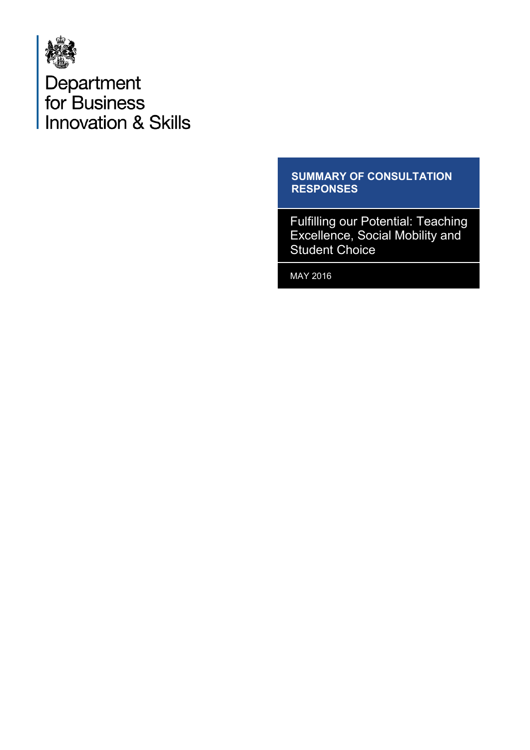

Department<br>for Business<br>Innovation & Skills

#### **SUMMARY OF CONSULTATION RESPONSES**

Fulfilling our Potential: Teaching Excellence, Social Mobility and Student Choice

MAY 2016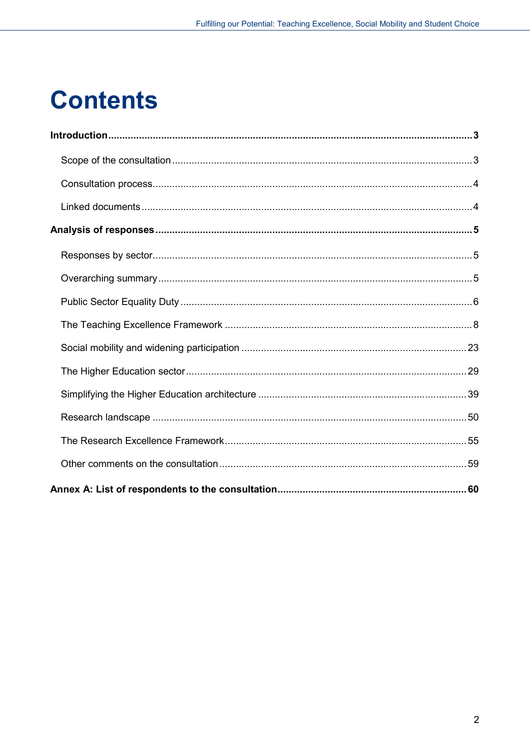# **Contents**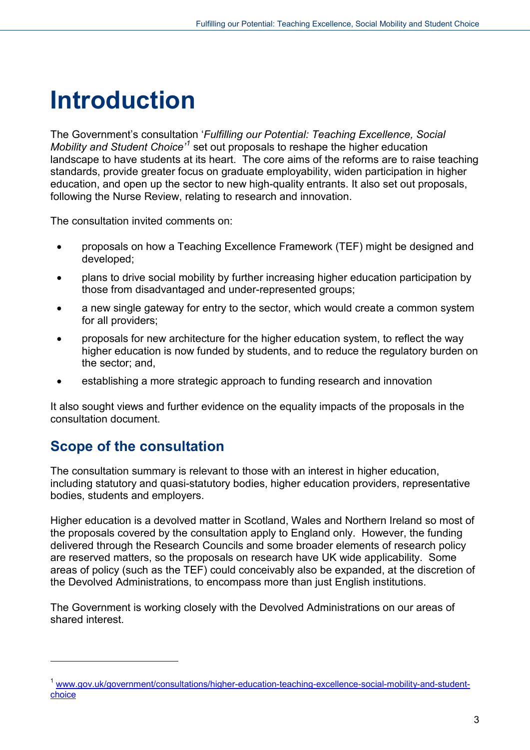# <span id="page-2-0"></span>**Introduction**

The Government's consultation '*Fulfilling our Potential: Teaching Excellence, Social Mobility and Student Choice'[1](#page-2-2)* set out proposals to reshape the higher education landscape to have students at its heart. The core aims of the reforms are to raise teaching standards, provide greater focus on graduate employability, widen participation in higher education, and open up the sector to new high-quality entrants. It also set out proposals, following the Nurse Review, relating to research and innovation.

The consultation invited comments on:

- proposals on how a Teaching Excellence Framework (TEF) might be designed and developed;
- plans to drive social mobility by further increasing higher education participation by those from disadvantaged and under-represented groups;
- a new single gateway for entry to the sector, which would create a common system for all providers;
- proposals for new architecture for the higher education system, to reflect the way higher education is now funded by students, and to reduce the regulatory burden on the sector; and,
- establishing a more strategic approach to funding research and innovation

It also sought views and further evidence on the equality impacts of the proposals in the consultation document.

# <span id="page-2-1"></span>**Scope of the consultation**

-

The consultation summary is relevant to those with an interest in higher education, including statutory and quasi-statutory bodies, higher education providers, representative bodies, students and employers.

Higher education is a devolved matter in Scotland, Wales and Northern Ireland so most of the proposals covered by the consultation apply to England only. However, the funding delivered through the Research Councils and some broader elements of research policy are reserved matters, so the proposals on research have UK wide applicability. Some areas of policy (such as the TEF) could conceivably also be expanded, at the discretion of the Devolved Administrations, to encompass more than just English institutions.

The Government is working closely with the Devolved Administrations on our areas of shared interest.

<span id="page-2-2"></span><sup>&</sup>lt;sup>1</sup> [www.gov.uk/government/consultations/higher-education-teaching-excellence-social-mobility-and-student](https://www.gov.uk/government/consultations/higher-education-teaching-excellence-social-mobility-and-student-choice)[choice](https://www.gov.uk/government/consultations/higher-education-teaching-excellence-social-mobility-and-student-choice)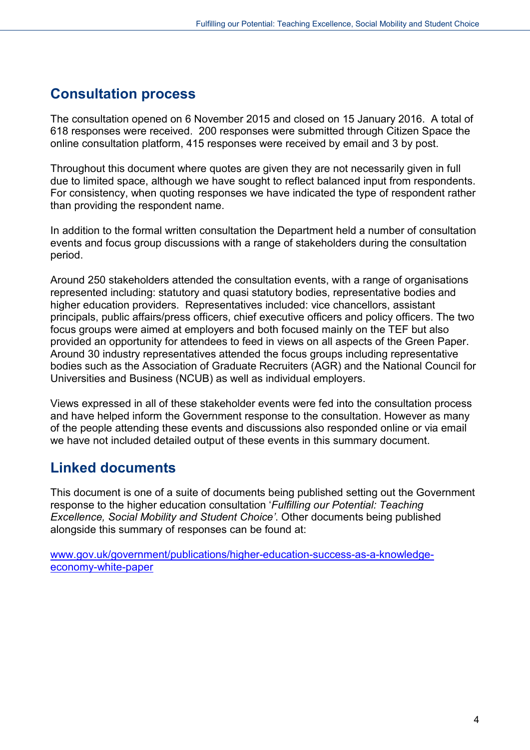# <span id="page-3-0"></span>**Consultation process**

The consultation opened on 6 November 2015 and closed on 15 January 2016. A total of 618 responses were received. 200 responses were submitted through Citizen Space the online consultation platform, 415 responses were received by email and 3 by post.

Throughout this document where quotes are given they are not necessarily given in full due to limited space, although we have sought to reflect balanced input from respondents. For consistency, when quoting responses we have indicated the type of respondent rather than providing the respondent name.

In addition to the formal written consultation the Department held a number of consultation events and focus group discussions with a range of stakeholders during the consultation period.

Around 250 stakeholders attended the consultation events, with a range of organisations represented including: statutory and quasi statutory bodies, representative bodies and higher education providers. Representatives included: vice chancellors, assistant principals, public affairs/press officers, chief executive officers and policy officers. The two focus groups were aimed at employers and both focused mainly on the TEF but also provided an opportunity for attendees to feed in views on all aspects of the Green Paper. Around 30 industry representatives attended the focus groups including representative bodies such as the Association of Graduate Recruiters (AGR) and the National Council for Universities and Business (NCUB) as well as individual employers.

Views expressed in all of these stakeholder events were fed into the consultation process and have helped inform the Government response to the consultation. However as many of the people attending these events and discussions also responded online or via email we have not included detailed output of these events in this summary document.

## <span id="page-3-1"></span>**Linked documents**

This document is one of a suite of documents being published setting out the Government response to the higher education consultation '*Fulfilling our Potential: Teaching Excellence, Social Mobility and Student Choice'*. Other documents being published alongside this summary of responses can be found at:

[www.gov.uk/government/publications/higher-education-success-as-a-knowledge](https://www.gov.uk/government/publications/higher-education-success-as-a-knowledge-economy-white-paper)[economy-white-paper](https://www.gov.uk/government/publications/higher-education-success-as-a-knowledge-economy-white-paper)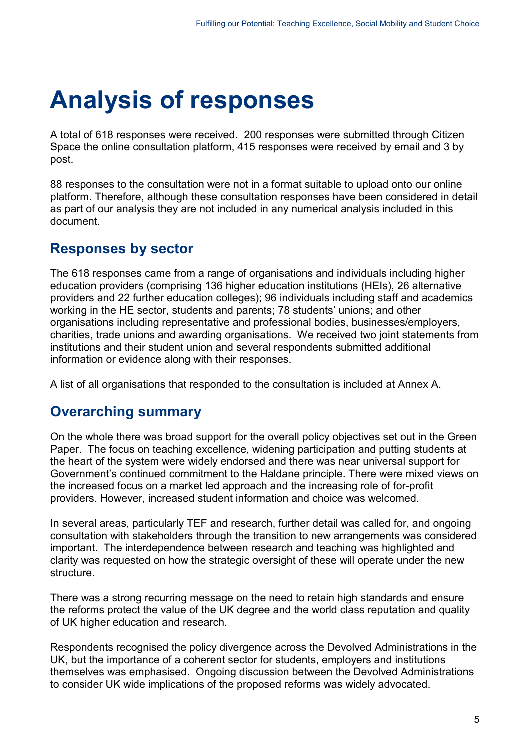# <span id="page-4-0"></span>**Analysis of responses**

A total of 618 responses were received. 200 responses were submitted through Citizen Space the online consultation platform, 415 responses were received by email and 3 by post.

88 responses to the consultation were not in a format suitable to upload onto our online platform. Therefore, although these consultation responses have been considered in detail as part of our analysis they are not included in any numerical analysis included in this document.

## <span id="page-4-1"></span>**Responses by sector**

The 618 responses came from a range of organisations and individuals including higher education providers (comprising 136 higher education institutions (HEIs), 26 alternative providers and 22 further education colleges); 96 individuals including staff and academics working in the HE sector, students and parents; 78 students' unions; and other organisations including representative and professional bodies, businesses/employers, charities, trade unions and awarding organisations. We received two joint statements from institutions and their student union and several respondents submitted additional information or evidence along with their responses.

A list of all organisations that responded to the consultation is included at Annex A.

## <span id="page-4-2"></span>**Overarching summary**

On the whole there was broad support for the overall policy objectives set out in the Green Paper. The focus on teaching excellence, widening participation and putting students at the heart of the system were widely endorsed and there was near universal support for Government's continued commitment to the Haldane principle. There were mixed views on the increased focus on a market led approach and the increasing role of for-profit providers. However, increased student information and choice was welcomed.

In several areas, particularly TEF and research, further detail was called for, and ongoing consultation with stakeholders through the transition to new arrangements was considered important. The interdependence between research and teaching was highlighted and clarity was requested on how the strategic oversight of these will operate under the new structure.

There was a strong recurring message on the need to retain high standards and ensure the reforms protect the value of the UK degree and the world class reputation and quality of UK higher education and research.

Respondents recognised the policy divergence across the Devolved Administrations in the UK, but the importance of a coherent sector for students, employers and institutions themselves was emphasised. Ongoing discussion between the Devolved Administrations to consider UK wide implications of the proposed reforms was widely advocated.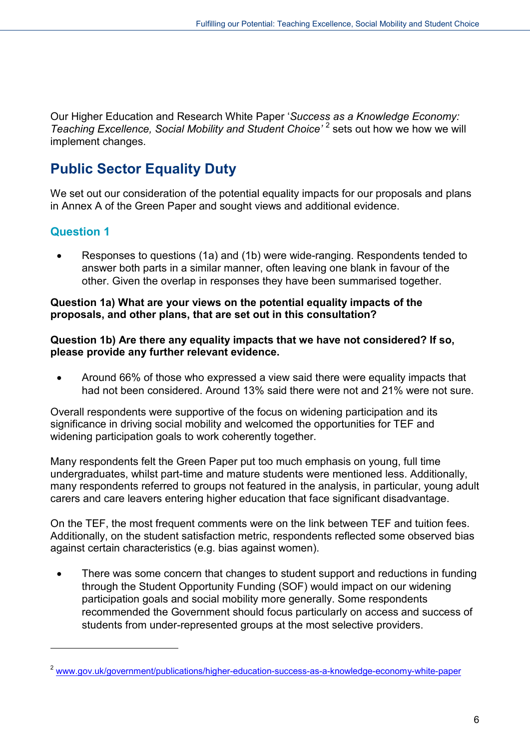Our Higher Education and Research White Paper '*Success as a Knowledge Economy: Teaching Excellence, Social Mobility and Student Choice'* [2](#page-5-1) sets out how we how we will implement changes.

# <span id="page-5-0"></span>**Public Sector Equality Duty**

We set out our consideration of the potential equality impacts for our proposals and plans in Annex A of the Green Paper and sought views and additional evidence.

## **Question 1**

-

• Responses to questions (1a) and (1b) were wide-ranging. Respondents tended to answer both parts in a similar manner, often leaving one blank in favour of the other. Given the overlap in responses they have been summarised together.

#### **Question 1a) What are your views on the potential equality impacts of the proposals, and other plans, that are set out in this consultation?**

#### **Question 1b) Are there any equality impacts that we have not considered? If so, please provide any further relevant evidence.**

• Around 66% of those who expressed a view said there were equality impacts that had not been considered. Around 13% said there were not and 21% were not sure.

Overall respondents were supportive of the focus on widening participation and its significance in driving social mobility and welcomed the opportunities for TEF and widening participation goals to work coherently together.

Many respondents felt the Green Paper put too much emphasis on young, full time undergraduates, whilst part-time and mature students were mentioned less. Additionally, many respondents referred to groups not featured in the analysis, in particular, young adult carers and care leavers entering higher education that face significant disadvantage.

On the TEF, the most frequent comments were on the link between TEF and tuition fees. Additionally, on the student satisfaction metric, respondents reflected some observed bias against certain characteristics (e.g. bias against women).

There was some concern that changes to student support and reductions in funding through the Student Opportunity Funding (SOF) would impact on our widening participation goals and social mobility more generally. Some respondents recommended the Government should focus particularly on access and success of students from under-represented groups at the most selective providers.

<span id="page-5-1"></span><sup>2</sup> [www.gov.uk/government/publications/higher-education-success-as-a-knowledge-economy-white-paper](https://www.gov.uk/government/publications/higher-education-success-as-a-knowledge-economy-white-paper)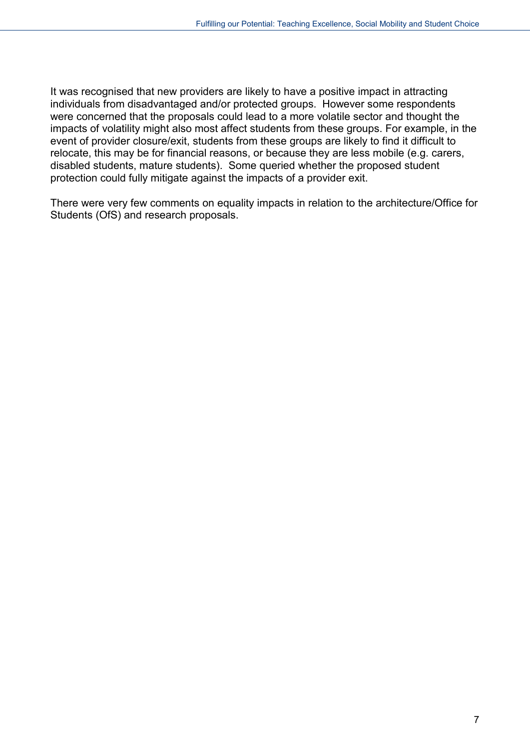It was recognised that new providers are likely to have a positive impact in attracting individuals from disadvantaged and/or protected groups. However some respondents were concerned that the proposals could lead to a more volatile sector and thought the impacts of volatility might also most affect students from these groups. For example, in the event of provider closure/exit, students from these groups are likely to find it difficult to relocate, this may be for financial reasons, or because they are less mobile (e.g. carers, disabled students, mature students). Some queried whether the proposed student protection could fully mitigate against the impacts of a provider exit.

There were very few comments on equality impacts in relation to the architecture/Office for Students (OfS) and research proposals.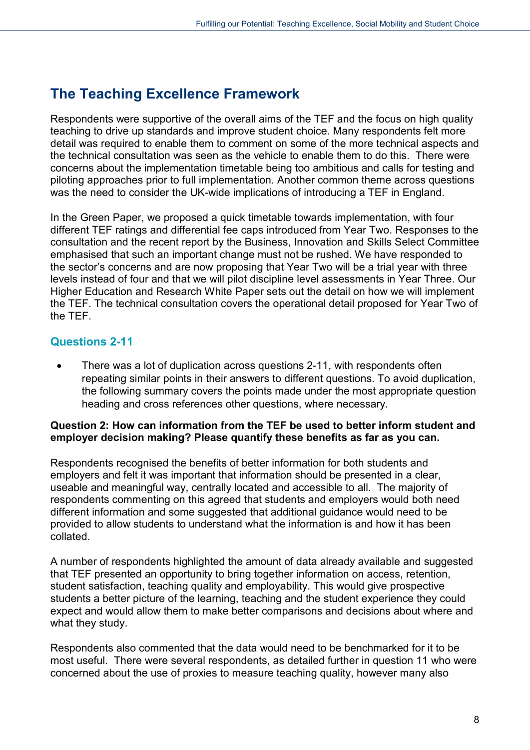# <span id="page-7-0"></span>**The Teaching Excellence Framework**

Respondents were supportive of the overall aims of the TEF and the focus on high quality teaching to drive up standards and improve student choice. Many respondents felt more detail was required to enable them to comment on some of the more technical aspects and the technical consultation was seen as the vehicle to enable them to do this. There were concerns about the implementation timetable being too ambitious and calls for testing and piloting approaches prior to full implementation. Another common theme across questions was the need to consider the UK-wide implications of introducing a TEF in England.

In the Green Paper, we proposed a quick timetable towards implementation, with four different TEF ratings and differential fee caps introduced from Year Two. Responses to the consultation and the recent report by the Business, Innovation and Skills Select Committee emphasised that such an important change must not be rushed. We have responded to the sector's concerns and are now proposing that Year Two will be a trial year with three levels instead of four and that we will pilot discipline level assessments in Year Three. Our Higher Education and Research White Paper sets out the detail on how we will implement the TEF. The technical consultation covers the operational detail proposed for Year Two of the TEF.

## **Questions 2-11**

• There was a lot of duplication across questions 2-11, with respondents often repeating similar points in their answers to different questions. To avoid duplication, the following summary covers the points made under the most appropriate question heading and cross references other questions, where necessary.

#### **Question 2: How can information from the TEF be used to better inform student and employer decision making? Please quantify these benefits as far as you can.**

Respondents recognised the benefits of better information for both students and employers and felt it was important that information should be presented in a clear, useable and meaningful way, centrally located and accessible to all. The majority of respondents commenting on this agreed that students and employers would both need different information and some suggested that additional guidance would need to be provided to allow students to understand what the information is and how it has been collated.

A number of respondents highlighted the amount of data already available and suggested that TEF presented an opportunity to bring together information on access, retention, student satisfaction, teaching quality and employability. This would give prospective students a better picture of the learning, teaching and the student experience they could expect and would allow them to make better comparisons and decisions about where and what they study.

Respondents also commented that the data would need to be benchmarked for it to be most useful. There were several respondents, as detailed further in question 11 who were concerned about the use of proxies to measure teaching quality, however many also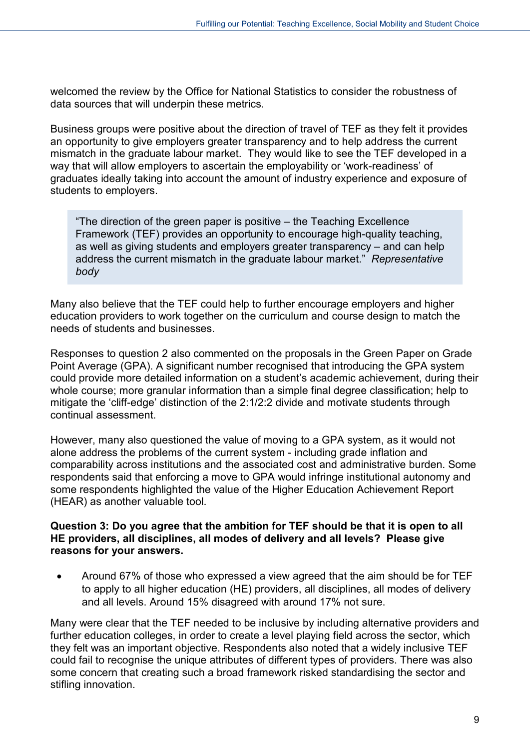welcomed the review by the Office for National Statistics to consider the robustness of data sources that will underpin these metrics.

Business groups were positive about the direction of travel of TEF as they felt it provides an opportunity to give employers greater transparency and to help address the current mismatch in the graduate labour market. They would like to see the TEF developed in a way that will allow employers to ascertain the employability or 'work-readiness' of graduates ideally taking into account the amount of industry experience and exposure of students to employers.

"The direction of the green paper is positive – the Teaching Excellence Framework (TEF) provides an opportunity to encourage high-quality teaching, as well as giving students and employers greater transparency – and can help address the current mismatch in the graduate labour market." *Representative body*

Many also believe that the TEF could help to further encourage employers and higher education providers to work together on the curriculum and course design to match the needs of students and businesses.

Responses to question 2 also commented on the proposals in the Green Paper on Grade Point Average (GPA). A significant number recognised that introducing the GPA system could provide more detailed information on a student's academic achievement, during their whole course; more granular information than a simple final degree classification; help to mitigate the 'cliff-edge' distinction of the 2:1/2:2 divide and motivate students through continual assessment.

However, many also questioned the value of moving to a GPA system, as it would not alone address the problems of the current system - including grade inflation and comparability across institutions and the associated cost and administrative burden. Some respondents said that enforcing a move to GPA would infringe institutional autonomy and some respondents highlighted the value of the Higher Education Achievement Report (HEAR) as another valuable tool.

#### **Question 3: Do you agree that the ambition for TEF should be that it is open to all HE providers, all disciplines, all modes of delivery and all levels? Please give reasons for your answers.**

• Around 67% of those who expressed a view agreed that the aim should be for TEF to apply to all higher education (HE) providers, all disciplines, all modes of delivery and all levels. Around 15% disagreed with around 17% not sure.

Many were clear that the TEF needed to be inclusive by including alternative providers and further education colleges, in order to create a level playing field across the sector, which they felt was an important objective. Respondents also noted that a widely inclusive TEF could fail to recognise the unique attributes of different types of providers. There was also some concern that creating such a broad framework risked standardising the sector and stifling innovation.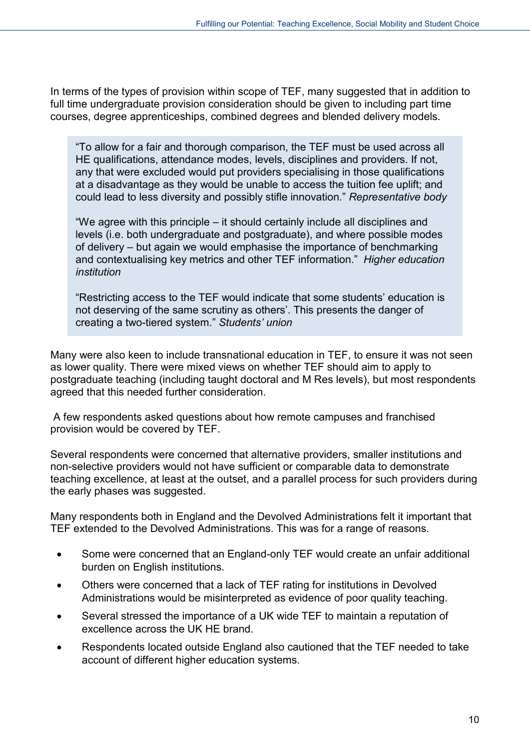In terms of the types of provision within scope of TEF, many suggested that in addition to full time undergraduate provision consideration should be given to including part time courses, degree apprenticeships, combined degrees and blended delivery models.

"To allow for a fair and thorough comparison, the TEF must be used across all HE qualifications, attendance modes, levels, disciplines and providers. If not, any that were excluded would put providers specialising in those qualifications at a disadvantage as they would be unable to access the tuition fee uplift; and could lead to less diversity and possibly stifle innovation." *Representative body*

"We agree with this principle – it should certainly include all disciplines and levels (i.e. both undergraduate and postgraduate), and where possible modes of delivery – but again we would emphasise the importance of benchmarking and contextualising key metrics and other TEF information." *Higher education institution*

"Restricting access to the TEF would indicate that some students' education is not deserving of the same scrutiny as others'. This presents the danger of creating a two-tiered system." *Students' union*

Many were also keen to include transnational education in TEF, to ensure it was not seen as lower quality. There were mixed views on whether TEF should aim to apply to postgraduate teaching (including taught doctoral and M Res levels), but most respondents agreed that this needed further consideration.

A few respondents asked questions about how remote campuses and franchised provision would be covered by TEF.

Several respondents were concerned that alternative providers, smaller institutions and non-selective providers would not have sufficient or comparable data to demonstrate teaching excellence, at least at the outset, and a parallel process for such providers during the early phases was suggested.

Many respondents both in England and the Devolved Administrations felt it important that TEF extended to the Devolved Administrations. This was for a range of reasons.

- Some were concerned that an England-only TEF would create an unfair additional burden on English institutions.
- Others were concerned that a lack of TEF rating for institutions in Devolved Administrations would be misinterpreted as evidence of poor quality teaching.
- Several stressed the importance of a UK wide TEF to maintain a reputation of excellence across the UK HE brand.
- Respondents located outside England also cautioned that the TEF needed to take account of different higher education systems.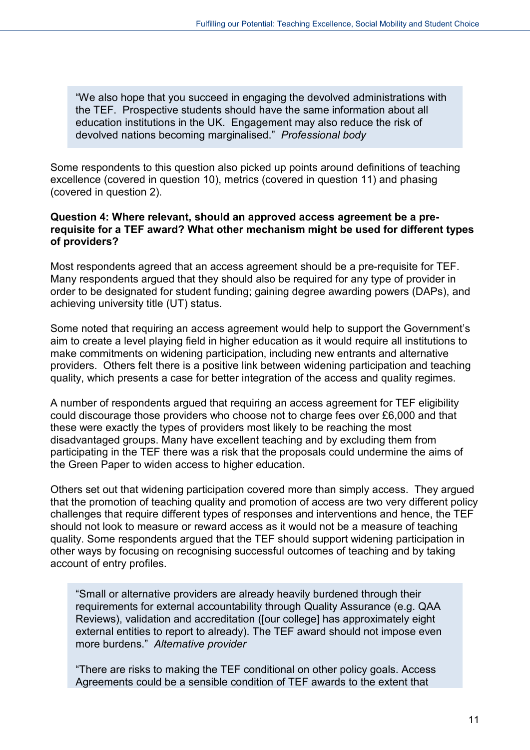"We also hope that you succeed in engaging the devolved administrations with the TEF. Prospective students should have the same information about all education institutions in the UK. Engagement may also reduce the risk of devolved nations becoming marginalised." *Professional body* 

Some respondents to this question also picked up points around definitions of teaching excellence (covered in question 10), metrics (covered in question 11) and phasing (covered in question 2).

#### **Question 4: Where relevant, should an approved access agreement be a prerequisite for a TEF award? What other mechanism might be used for different types of providers?**

Most respondents agreed that an access agreement should be a pre-requisite for TEF. Many respondents argued that they should also be required for any type of provider in order to be designated for student funding; gaining degree awarding powers (DAPs), and achieving university title (UT) status.

Some noted that requiring an access agreement would help to support the Government's aim to create a level playing field in higher education as it would require all institutions to make commitments on widening participation, including new entrants and alternative providers. Others felt there is a positive link between widening participation and teaching quality, which presents a case for better integration of the access and quality regimes.

A number of respondents argued that requiring an access agreement for TEF eligibility could discourage those providers who choose not to charge fees over £6,000 and that these were exactly the types of providers most likely to be reaching the most disadvantaged groups. Many have excellent teaching and by excluding them from participating in the TEF there was a risk that the proposals could undermine the aims of the Green Paper to widen access to higher education.

Others set out that widening participation covered more than simply access. They argued that the promotion of teaching quality and promotion of access are two very different policy challenges that require different types of responses and interventions and hence, the TEF should not look to measure or reward access as it would not be a measure of teaching quality. Some respondents argued that the TEF should support widening participation in other ways by focusing on recognising successful outcomes of teaching and by taking account of entry profiles.

"Small or alternative providers are already heavily burdened through their requirements for external accountability through Quality Assurance (e.g. QAA Reviews), validation and accreditation ([our college] has approximately eight external entities to report to already). The TEF award should not impose even more burdens." *Alternative provider*

"There are risks to making the TEF conditional on other policy goals. Access Agreements could be a sensible condition of TEF awards to the extent that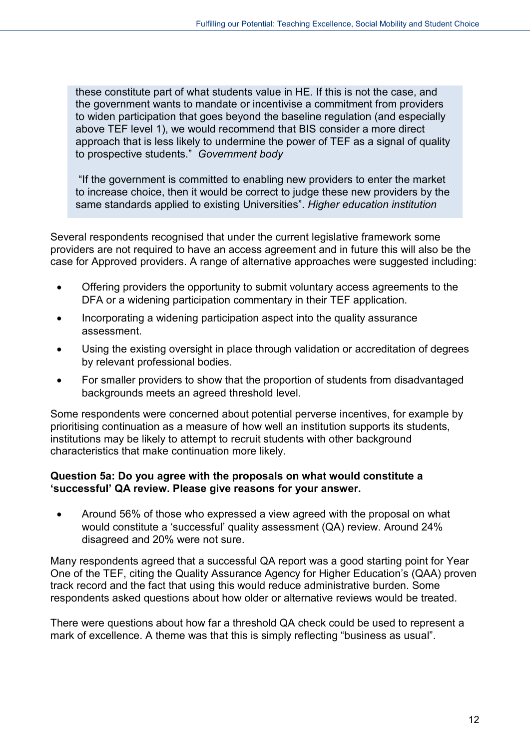these constitute part of what students value in HE. If this is not the case, and the government wants to mandate or incentivise a commitment from providers to widen participation that goes beyond the baseline regulation (and especially above TEF level 1), we would recommend that BIS consider a more direct approach that is less likely to undermine the power of TEF as a signal of quality to prospective students." *Government body*

"If the government is committed to enabling new providers to enter the market to increase choice, then it would be correct to judge these new providers by the same standards applied to existing Universities". *Higher education institution*

Several respondents recognised that under the current legislative framework some providers are not required to have an access agreement and in future this will also be the case for Approved providers. A range of alternative approaches were suggested including:

- Offering providers the opportunity to submit voluntary access agreements to the DFA or a widening participation commentary in their TEF application.
- Incorporating a widening participation aspect into the quality assurance assessment.
- Using the existing oversight in place through validation or accreditation of degrees by relevant professional bodies.
- For smaller providers to show that the proportion of students from disadvantaged backgrounds meets an agreed threshold level.

Some respondents were concerned about potential perverse incentives, for example by prioritising continuation as a measure of how well an institution supports its students, institutions may be likely to attempt to recruit students with other background characteristics that make continuation more likely.

#### **Question 5a: Do you agree with the proposals on what would constitute a 'successful' QA review. Please give reasons for your answer.**

• Around 56% of those who expressed a view agreed with the proposal on what would constitute a 'successful' quality assessment (QA) review. Around 24% disagreed and 20% were not sure.

Many respondents agreed that a successful QA report was a good starting point for Year One of the TEF, citing the Quality Assurance Agency for Higher Education's (QAA) proven track record and the fact that using this would reduce administrative burden. Some respondents asked questions about how older or alternative reviews would be treated.

There were questions about how far a threshold QA check could be used to represent a mark of excellence. A theme was that this is simply reflecting "business as usual".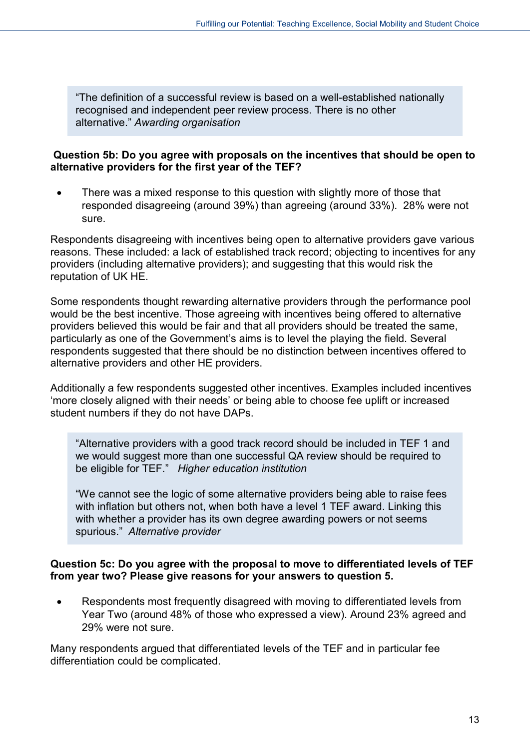"The definition of a successful review is based on a well-established nationally recognised and independent peer review process. There is no other alternative." *Awarding organisation*

#### **Question 5b: Do you agree with proposals on the incentives that should be open to alternative providers for the first year of the TEF?**

There was a mixed response to this question with slightly more of those that responded disagreeing (around 39%) than agreeing (around 33%). 28% were not sure.

Respondents disagreeing with incentives being open to alternative providers gave various reasons. These included: a lack of established track record; objecting to incentives for any providers (including alternative providers); and suggesting that this would risk the reputation of UK HE.

Some respondents thought rewarding alternative providers through the performance pool would be the best incentive. Those agreeing with incentives being offered to alternative providers believed this would be fair and that all providers should be treated the same, particularly as one of the Government's aims is to level the playing the field. Several respondents suggested that there should be no distinction between incentives offered to alternative providers and other HE providers.

Additionally a few respondents suggested other incentives. Examples included incentives 'more closely aligned with their needs' or being able to choose fee uplift or increased student numbers if they do not have DAPs.

"Alternative providers with a good track record should be included in TEF 1 and we would suggest more than one successful QA review should be required to be eligible for TEF." *Higher education institution*

"We cannot see the logic of some alternative providers being able to raise fees with inflation but others not, when both have a level 1 TEF award. Linking this with whether a provider has its own degree awarding powers or not seems spurious." *Alternative provider*

#### **Question 5c: Do you agree with the proposal to move to differentiated levels of TEF from year two? Please give reasons for your answers to question 5.**

• Respondents most frequently disagreed with moving to differentiated levels from Year Two (around 48% of those who expressed a view). Around 23% agreed and 29% were not sure.

Many respondents argued that differentiated levels of the TEF and in particular fee differentiation could be complicated.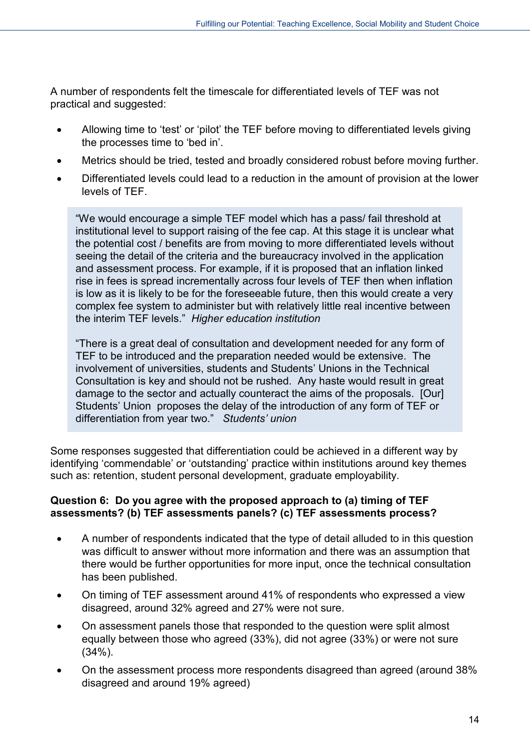A number of respondents felt the timescale for differentiated levels of TEF was not practical and suggested:

- Allowing time to 'test' or 'pilot' the TEF before moving to differentiated levels giving the processes time to 'bed in'.
- Metrics should be tried, tested and broadly considered robust before moving further.
- Differentiated levels could lead to a reduction in the amount of provision at the lower levels of TEF.

"We would encourage a simple TEF model which has a pass/ fail threshold at institutional level to support raising of the fee cap. At this stage it is unclear what the potential cost / benefits are from moving to more differentiated levels without seeing the detail of the criteria and the bureaucracy involved in the application and assessment process. For example, if it is proposed that an inflation linked rise in fees is spread incrementally across four levels of TEF then when inflation is low as it is likely to be for the foreseeable future, then this would create a very complex fee system to administer but with relatively little real incentive between the interim TEF levels." *Higher education institution*

"There is a great deal of consultation and development needed for any form of TEF to be introduced and the preparation needed would be extensive. The involvement of universities, students and Students' Unions in the Technical Consultation is key and should not be rushed. Any haste would result in great damage to the sector and actually counteract the aims of the proposals. [Our] Students' Union proposes the delay of the introduction of any form of TEF or differentiation from year two." *Students' union*

Some responses suggested that differentiation could be achieved in a different way by identifying 'commendable' or 'outstanding' practice within institutions around key themes such as: retention, student personal development, graduate employability.

#### **Question 6: Do you agree with the proposed approach to (a) timing of TEF assessments? (b) TEF assessments panels? (c) TEF assessments process?**

- A number of respondents indicated that the type of detail alluded to in this question was difficult to answer without more information and there was an assumption that there would be further opportunities for more input, once the technical consultation has been published.
- On timing of TEF assessment around 41% of respondents who expressed a view disagreed, around 32% agreed and 27% were not sure.
- On assessment panels those that responded to the question were split almost equally between those who agreed (33%), did not agree (33%) or were not sure (34%).
- On the assessment process more respondents disagreed than agreed (around 38% disagreed and around 19% agreed)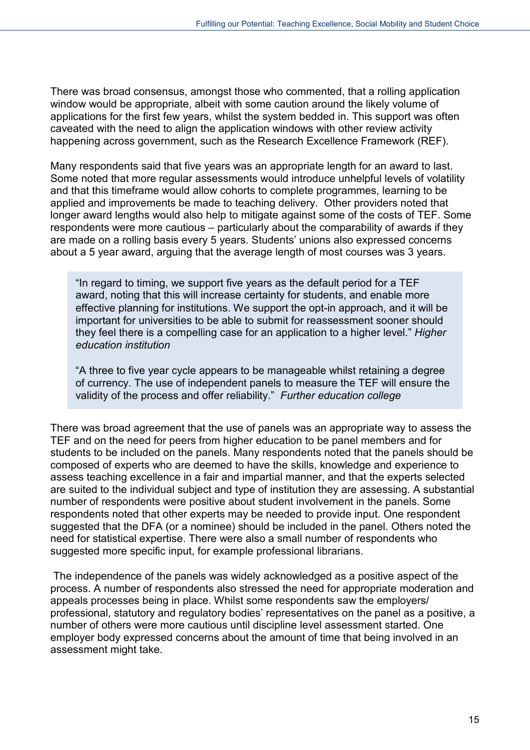There was broad consensus, amongst those who commented, that a rolling application window would be appropriate, albeit with some caution around the likely volume of applications for the first few years, whilst the system bedded in. This support was often caveated with the need to align the application windows with other review activity happening across government, such as the Research Excellence Framework (REF).

Many respondents said that five years was an appropriate length for an award to last. Some noted that more regular assessments would introduce unhelpful levels of volatility and that this timeframe would allow cohorts to complete programmes, learning to be applied and improvements be made to teaching delivery. Other providers noted that longer award lengths would also help to mitigate against some of the costs of TEF. Some respondents were more cautious – particularly about the comparability of awards if they are made on a rolling basis every 5 years. Students' unions also expressed concerns about a 5 year award, arguing that the average length of most courses was 3 years.

"In regard to timing, we support five years as the default period for a TEF award, noting that this will increase certainty for students, and enable more effective planning for institutions. We support the opt-in approach, and it will be important for universities to be able to submit for reassessment sooner should they feel there is a compelling case for an application to a higher level." *Higher education institution*

"A three to five year cycle appears to be manageable whilst retaining a degree of currency. The use of independent panels to measure the TEF will ensure the validity of the process and offer reliability." *Further education college*

There was broad agreement that the use of panels was an appropriate way to assess the TEF and on the need for peers from higher education to be panel members and for students to be included on the panels. Many respondents noted that the panels should be composed of experts who are deemed to have the skills, knowledge and experience to assess teaching excellence in a fair and impartial manner, and that the experts selected are suited to the individual subject and type of institution they are assessing. A substantial number of respondents were positive about student involvement in the panels. Some respondents noted that other experts may be needed to provide input. One respondent suggested that the DFA (or a nominee) should be included in the panel. Others noted the need for statistical expertise. There were also a small number of respondents who suggested more specific input, for example professional librarians.

The independence of the panels was widely acknowledged as a positive aspect of the process. A number of respondents also stressed the need for appropriate moderation and appeals processes being in place. Whilst some respondents saw the employers/ professional, statutory and regulatory bodies' representatives on the panel as a positive, a number of others were more cautious until discipline level assessment started. One employer body expressed concerns about the amount of time that being involved in an assessment might take.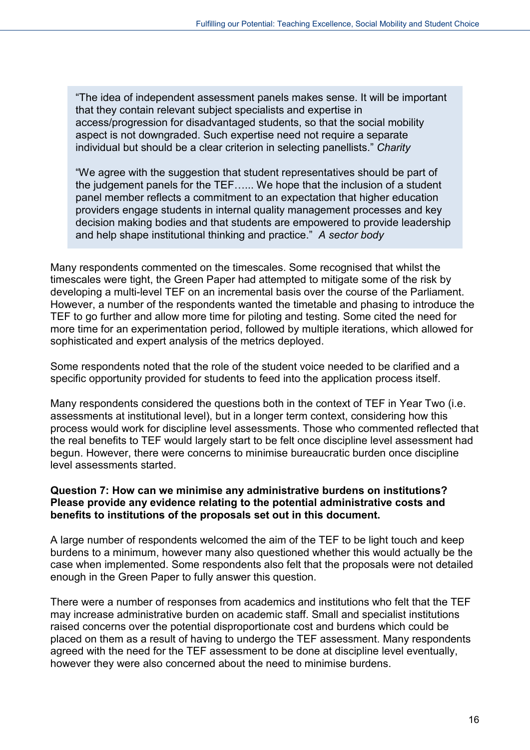"The idea of independent assessment panels makes sense. It will be important that they contain relevant subject specialists and expertise in access/progression for disadvantaged students, so that the social mobility aspect is not downgraded. Such expertise need not require a separate individual but should be a clear criterion in selecting panellists." *Charity* 

"We agree with the suggestion that student representatives should be part of the judgement panels for the TEF…... We hope that the inclusion of a student panel member reflects a commitment to an expectation that higher education providers engage students in internal quality management processes and key decision making bodies and that students are empowered to provide leadership and help shape institutional thinking and practice." *A sector body*

Many respondents commented on the timescales. Some recognised that whilst the timescales were tight, the Green Paper had attempted to mitigate some of the risk by developing a multi-level TEF on an incremental basis over the course of the Parliament. However, a number of the respondents wanted the timetable and phasing to introduce the TEF to go further and allow more time for piloting and testing. Some cited the need for more time for an experimentation period, followed by multiple iterations, which allowed for sophisticated and expert analysis of the metrics deployed.

Some respondents noted that the role of the student voice needed to be clarified and a specific opportunity provided for students to feed into the application process itself.

Many respondents considered the questions both in the context of TEF in Year Two (i.e. assessments at institutional level), but in a longer term context, considering how this process would work for discipline level assessments. Those who commented reflected that the real benefits to TEF would largely start to be felt once discipline level assessment had begun. However, there were concerns to minimise bureaucratic burden once discipline level assessments started.

#### **Question 7: How can we minimise any administrative burdens on institutions? Please provide any evidence relating to the potential administrative costs and benefits to institutions of the proposals set out in this document.**

A large number of respondents welcomed the aim of the TEF to be light touch and keep burdens to a minimum, however many also questioned whether this would actually be the case when implemented. Some respondents also felt that the proposals were not detailed enough in the Green Paper to fully answer this question.

There were a number of responses from academics and institutions who felt that the TEF may increase administrative burden on academic staff. Small and specialist institutions raised concerns over the potential disproportionate cost and burdens which could be placed on them as a result of having to undergo the TEF assessment. Many respondents agreed with the need for the TEF assessment to be done at discipline level eventually, however they were also concerned about the need to minimise burdens.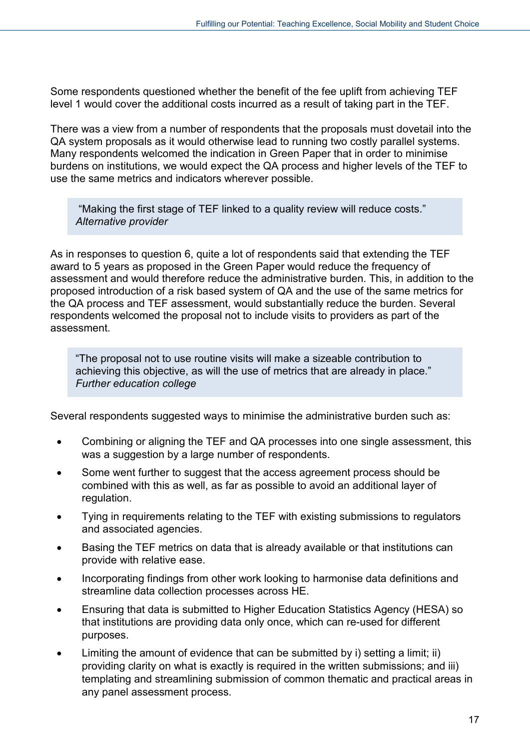Some respondents questioned whether the benefit of the fee uplift from achieving TEF level 1 would cover the additional costs incurred as a result of taking part in the TEF.

There was a view from a number of respondents that the proposals must dovetail into the QA system proposals as it would otherwise lead to running two costly parallel systems. Many respondents welcomed the indication in Green Paper that in order to minimise burdens on institutions, we would expect the QA process and higher levels of the TEF to use the same metrics and indicators wherever possible.

"Making the first stage of TEF linked to a quality review will reduce costs." *Alternative provider*

As in responses to question 6, quite a lot of respondents said that extending the TEF award to 5 years as proposed in the Green Paper would reduce the frequency of assessment and would therefore reduce the administrative burden. This, in addition to the proposed introduction of a risk based system of QA and the use of the same metrics for the QA process and TEF assessment, would substantially reduce the burden. Several respondents welcomed the proposal not to include visits to providers as part of the assessment.

"The proposal not to use routine visits will make a sizeable contribution to achieving this objective, as will the use of metrics that are already in place." *Further education college*

Several respondents suggested ways to minimise the administrative burden such as:

- Combining or aligning the TEF and QA processes into one single assessment, this was a suggestion by a large number of respondents.
- Some went further to suggest that the access agreement process should be combined with this as well, as far as possible to avoid an additional layer of regulation.
- Tying in requirements relating to the TEF with existing submissions to regulators and associated agencies.
- Basing the TEF metrics on data that is already available or that institutions can provide with relative ease.
- Incorporating findings from other work looking to harmonise data definitions and streamline data collection processes across HE.
- Ensuring that data is submitted to Higher Education Statistics Agency (HESA) so that institutions are providing data only once, which can re-used for different purposes.
- Limiting the amount of evidence that can be submitted by i) setting a limit; ii) providing clarity on what is exactly is required in the written submissions; and iii) templating and streamlining submission of common thematic and practical areas in any panel assessment process.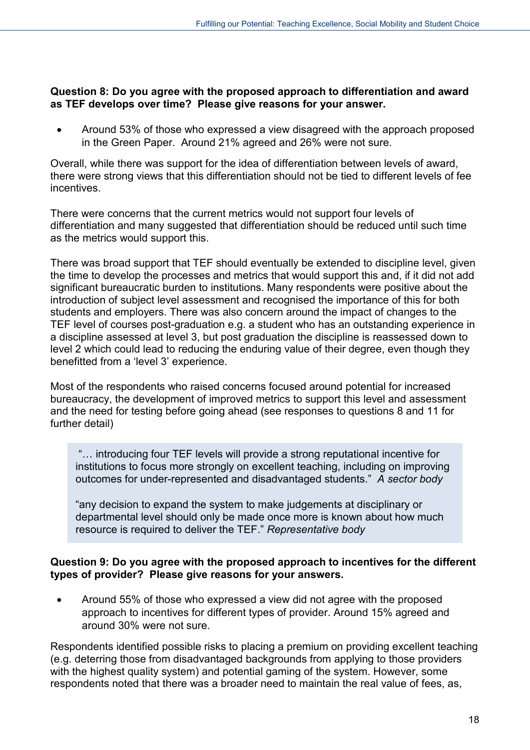#### **Question 8: Do you agree with the proposed approach to differentiation and award as TEF develops over time? Please give reasons for your answer.**

• Around 53% of those who expressed a view disagreed with the approach proposed in the Green Paper. Around 21% agreed and 26% were not sure.

Overall, while there was support for the idea of differentiation between levels of award, there were strong views that this differentiation should not be tied to different levels of fee incentives.

There were concerns that the current metrics would not support four levels of differentiation and many suggested that differentiation should be reduced until such time as the metrics would support this.

There was broad support that TEF should eventually be extended to discipline level, given the time to develop the processes and metrics that would support this and, if it did not add significant bureaucratic burden to institutions. Many respondents were positive about the introduction of subject level assessment and recognised the importance of this for both students and employers. There was also concern around the impact of changes to the TEF level of courses post-graduation e.g. a student who has an outstanding experience in a discipline assessed at level 3, but post graduation the discipline is reassessed down to level 2 which could lead to reducing the enduring value of their degree, even though they benefitted from a 'level 3' experience.

Most of the respondents who raised concerns focused around potential for increased bureaucracy, the development of improved metrics to support this level and assessment and the need for testing before going ahead (see responses to questions 8 and 11 for further detail)

"… introducing four TEF levels will provide a strong reputational incentive for institutions to focus more strongly on excellent teaching, including on improving outcomes for under-represented and disadvantaged students." *A sector body*

"any decision to expand the system to make judgements at disciplinary or departmental level should only be made once more is known about how much resource is required to deliver the TEF." *Representative body*

#### **Question 9: Do you agree with the proposed approach to incentives for the different types of provider? Please give reasons for your answers.**

• Around 55% of those who expressed a view did not agree with the proposed approach to incentives for different types of provider. Around 15% agreed and around 30% were not sure.

Respondents identified possible risks to placing a premium on providing excellent teaching (e.g. deterring those from disadvantaged backgrounds from applying to those providers with the highest quality system) and potential gaming of the system. However, some respondents noted that there was a broader need to maintain the real value of fees, as,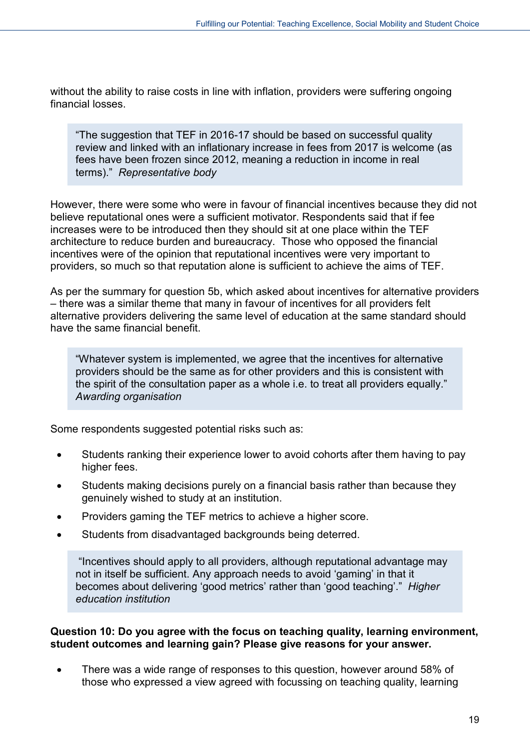without the ability to raise costs in line with inflation, providers were suffering ongoing financial losses.

"The suggestion that TEF in 2016-17 should be based on successful quality review and linked with an inflationary increase in fees from 2017 is welcome (as fees have been frozen since 2012, meaning a reduction in income in real terms)." *Representative body*

However, there were some who were in favour of financial incentives because they did not believe reputational ones were a sufficient motivator. Respondents said that if fee increases were to be introduced then they should sit at one place within the TEF architecture to reduce burden and bureaucracy. Those who opposed the financial incentives were of the opinion that reputational incentives were very important to providers, so much so that reputation alone is sufficient to achieve the aims of TEF.

As per the summary for question 5b, which asked about incentives for alternative providers – there was a similar theme that many in favour of incentives for all providers felt alternative providers delivering the same level of education at the same standard should have the same financial benefit.

"Whatever system is implemented, we agree that the incentives for alternative providers should be the same as for other providers and this is consistent with the spirit of the consultation paper as a whole i.e. to treat all providers equally." *Awarding organisation*

Some respondents suggested potential risks such as:

- Students ranking their experience lower to avoid cohorts after them having to pay higher fees.
- Students making decisions purely on a financial basis rather than because they genuinely wished to study at an institution.
- Providers gaming the TEF metrics to achieve a higher score.
- Students from disadvantaged backgrounds being deterred.

"Incentives should apply to all providers, although reputational advantage may not in itself be sufficient. Any approach needs to avoid 'gaming' in that it becomes about delivering 'good metrics' rather than 'good teaching'." *Higher education institution*

#### **Question 10: Do you agree with the focus on teaching quality, learning environment, student outcomes and learning gain? Please give reasons for your answer.**

• There was a wide range of responses to this question, however around 58% of those who expressed a view agreed with focussing on teaching quality, learning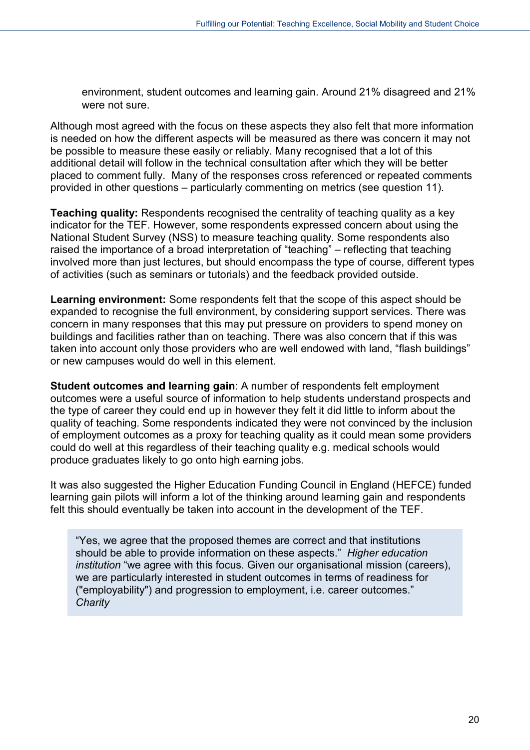environment, student outcomes and learning gain. Around 21% disagreed and 21% were not sure.

Although most agreed with the focus on these aspects they also felt that more information is needed on how the different aspects will be measured as there was concern it may not be possible to measure these easily or reliably. Many recognised that a lot of this additional detail will follow in the technical consultation after which they will be better placed to comment fully. Many of the responses cross referenced or repeated comments provided in other questions – particularly commenting on metrics (see question 11).

**Teaching quality:** Respondents recognised the centrality of teaching quality as a key indicator for the TEF. However, some respondents expressed concern about using the National Student Survey (NSS) to measure teaching quality. Some respondents also raised the importance of a broad interpretation of "teaching" – reflecting that teaching involved more than just lectures, but should encompass the type of course, different types of activities (such as seminars or tutorials) and the feedback provided outside.

**Learning environment:** Some respondents felt that the scope of this aspect should be expanded to recognise the full environment, by considering support services. There was concern in many responses that this may put pressure on providers to spend money on buildings and facilities rather than on teaching. There was also concern that if this was taken into account only those providers who are well endowed with land, "flash buildings" or new campuses would do well in this element.

**Student outcomes and learning gain**: A number of respondents felt employment outcomes were a useful source of information to help students understand prospects and the type of career they could end up in however they felt it did little to inform about the quality of teaching. Some respondents indicated they were not convinced by the inclusion of employment outcomes as a proxy for teaching quality as it could mean some providers could do well at this regardless of their teaching quality e.g. medical schools would produce graduates likely to go onto high earning jobs.

It was also suggested the Higher Education Funding Council in England (HEFCE) funded learning gain pilots will inform a lot of the thinking around learning gain and respondents felt this should eventually be taken into account in the development of the TEF.

"Yes, we agree that the proposed themes are correct and that institutions should be able to provide information on these aspects." *Higher education institution* "we agree with this focus. Given our organisational mission (careers), we are particularly interested in student outcomes in terms of readiness for ("employability") and progression to employment, i.e. career outcomes." *Charity*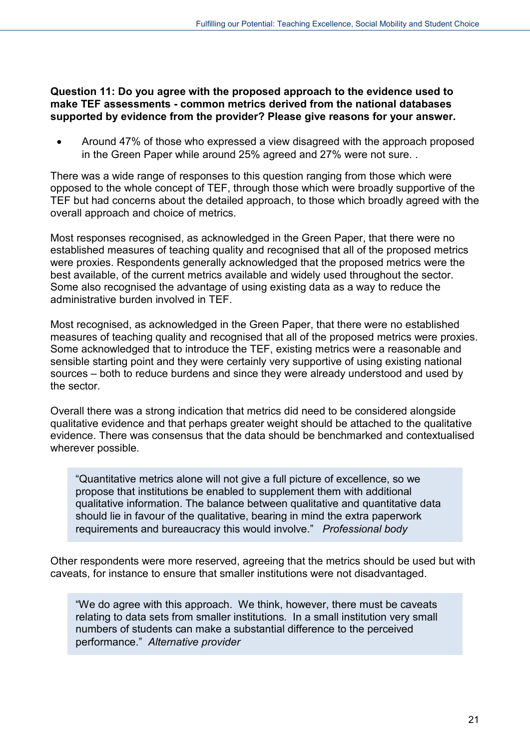**Question 11: Do you agree with the proposed approach to the evidence used to make TEF assessments - common metrics derived from the national databases supported by evidence from the provider? Please give reasons for your answer.**

• Around 47% of those who expressed a view disagreed with the approach proposed in the Green Paper while around 25% agreed and 27% were not sure. .

There was a wide range of responses to this question ranging from those which were opposed to the whole concept of TEF, through those which were broadly supportive of the TEF but had concerns about the detailed approach, to those which broadly agreed with the overall approach and choice of metrics.

Most responses recognised, as acknowledged in the Green Paper, that there were no established measures of teaching quality and recognised that all of the proposed metrics were proxies. Respondents generally acknowledged that the proposed metrics were the best available, of the current metrics available and widely used throughout the sector. Some also recognised the advantage of using existing data as a way to reduce the administrative burden involved in TEF.

Most recognised, as acknowledged in the Green Paper, that there were no established measures of teaching quality and recognised that all of the proposed metrics were proxies. Some acknowledged that to introduce the TEF, existing metrics were a reasonable and sensible starting point and they were certainly very supportive of using existing national sources – both to reduce burdens and since they were already understood and used by the sector.

Overall there was a strong indication that metrics did need to be considered alongside qualitative evidence and that perhaps greater weight should be attached to the qualitative evidence. There was consensus that the data should be benchmarked and contextualised wherever possible.

"Quantitative metrics alone will not give a full picture of excellence, so we propose that institutions be enabled to supplement them with additional qualitative information. The balance between qualitative and quantitative data should lie in favour of the qualitative, bearing in mind the extra paperwork requirements and bureaucracy this would involve." *Professional body*

Other respondents were more reserved, agreeing that the metrics should be used but with caveats, for instance to ensure that smaller institutions were not disadvantaged.

"We do agree with this approach. We think, however, there must be caveats relating to data sets from smaller institutions. In a small institution very small numbers of students can make a substantial difference to the perceived performance." *Alternative provider*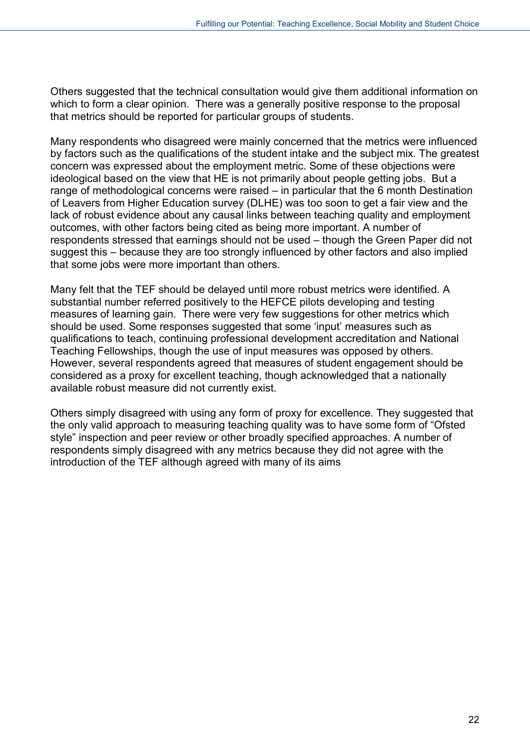Others suggested that the technical consultation would give them additional information on which to form a clear opinion. There was a generally positive response to the proposal that metrics should be reported for particular groups of students.

Many respondents who disagreed were mainly concerned that the metrics were influenced by factors such as the qualifications of the student intake and the subject mix. The greatest concern was expressed about the employment metric. Some of these objections were ideological based on the view that HE is not primarily about people getting jobs. But a range of methodological concerns were raised – in particular that the 6 month Destination of Leavers from Higher Education survey (DLHE) was too soon to get a fair view and the lack of robust evidence about any causal links between teaching quality and employment outcomes, with other factors being cited as being more important. A number of respondents stressed that earnings should not be used – though the Green Paper did not suggest this – because they are too strongly influenced by other factors and also implied that some jobs were more important than others.

Many felt that the TEF should be delayed until more robust metrics were identified. A substantial number referred positively to the HEFCE pilots developing and testing measures of learning gain. There were very few suggestions for other metrics which should be used. Some responses suggested that some 'input' measures such as qualifications to teach, continuing professional development accreditation and National Teaching Fellowships, though the use of input measures was opposed by others. However, several respondents agreed that measures of student engagement should be considered as a proxy for excellent teaching, though acknowledged that a nationally available robust measure did not currently exist.

Others simply disagreed with using any form of proxy for excellence. They suggested that the only valid approach to measuring teaching quality was to have some form of "Ofsted style" inspection and peer review or other broadly specified approaches. A number of respondents simply disagreed with any metrics because they did not agree with the introduction of the TEF although agreed with many of its aims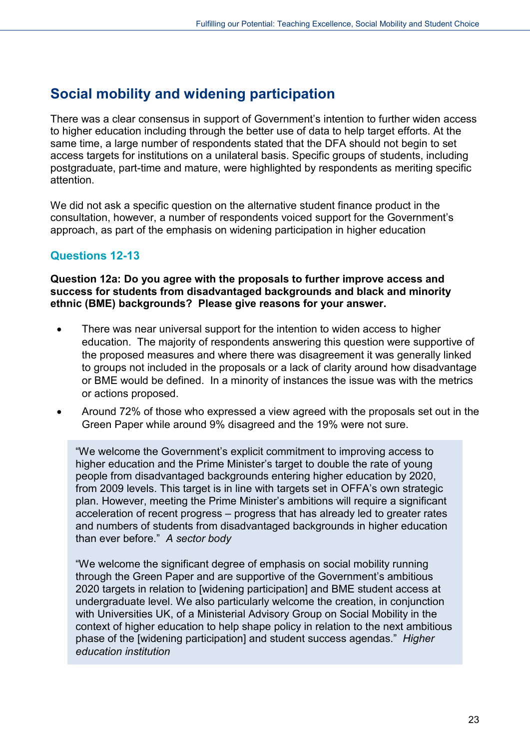# <span id="page-22-0"></span>**Social mobility and widening participation**

There was a clear consensus in support of Government's intention to further widen access to higher education including through the better use of data to help target efforts. At the same time, a large number of respondents stated that the DFA should not begin to set access targets for institutions on a unilateral basis. Specific groups of students, including postgraduate, part-time and mature, were highlighted by respondents as meriting specific attention.

We did not ask a specific question on the alternative student finance product in the consultation, however, a number of respondents voiced support for the Government's approach, as part of the emphasis on widening participation in higher education

## **Questions 12-13**

**Question 12a: Do you agree with the proposals to further improve access and success for students from disadvantaged backgrounds and black and minority ethnic (BME) backgrounds? Please give reasons for your answer.**

- There was near universal support for the intention to widen access to higher education. The majority of respondents answering this question were supportive of the proposed measures and where there was disagreement it was generally linked to groups not included in the proposals or a lack of clarity around how disadvantage or BME would be defined. In a minority of instances the issue was with the metrics or actions proposed.
- Around 72% of those who expressed a view agreed with the proposals set out in the Green Paper while around 9% disagreed and the 19% were not sure.

"We welcome the Government's explicit commitment to improving access to higher education and the Prime Minister's target to double the rate of young people from disadvantaged backgrounds entering higher education by 2020, from 2009 levels. This target is in line with targets set in OFFA's own strategic plan. However, meeting the Prime Minister's ambitions will require a significant acceleration of recent progress – progress that has already led to greater rates and numbers of students from disadvantaged backgrounds in higher education than ever before." *A sector body*

"We welcome the significant degree of emphasis on social mobility running through the Green Paper and are supportive of the Government's ambitious 2020 targets in relation to [widening participation] and BME student access at undergraduate level. We also particularly welcome the creation, in conjunction with Universities UK, of a Ministerial Advisory Group on Social Mobility in the context of higher education to help shape policy in relation to the next ambitious phase of the [widening participation] and student success agendas." *Higher education institution*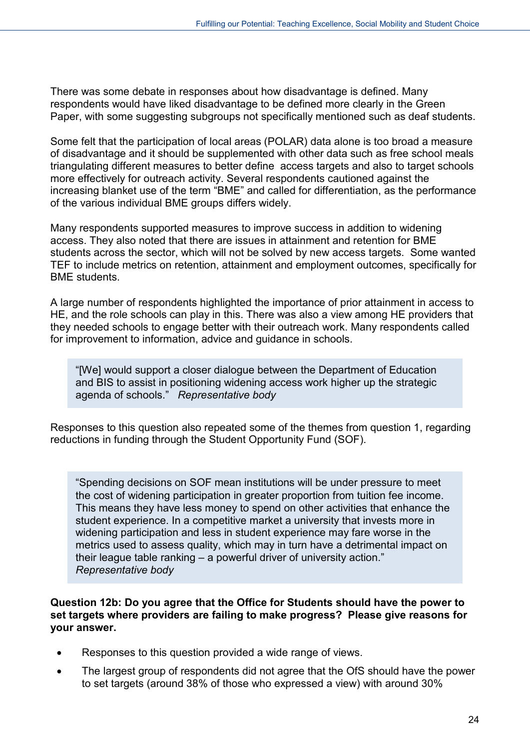There was some debate in responses about how disadvantage is defined. Many respondents would have liked disadvantage to be defined more clearly in the Green Paper, with some suggesting subgroups not specifically mentioned such as deaf students.

Some felt that the participation of local areas (POLAR) data alone is too broad a measure of disadvantage and it should be supplemented with other data such as free school meals triangulating different measures to better define access targets and also to target schools more effectively for outreach activity. Several respondents cautioned against the increasing blanket use of the term "BME" and called for differentiation, as the performance of the various individual BME groups differs widely.

Many respondents supported measures to improve success in addition to widening access. They also noted that there are issues in attainment and retention for BME students across the sector, which will not be solved by new access targets. Some wanted TEF to include metrics on retention, attainment and employment outcomes, specifically for BME students.

A large number of respondents highlighted the importance of prior attainment in access to HE, and the role schools can play in this. There was also a view among HE providers that they needed schools to engage better with their outreach work. Many respondents called for improvement to information, advice and guidance in schools.

"[We] would support a closer dialogue between the Department of Education and BIS to assist in positioning widening access work higher up the strategic agenda of schools." *Representative body*

Responses to this question also repeated some of the themes from question 1, regarding reductions in funding through the Student Opportunity Fund (SOF).

"Spending decisions on SOF mean institutions will be under pressure to meet the cost of widening participation in greater proportion from tuition fee income. This means they have less money to spend on other activities that enhance the student experience. In a competitive market a university that invests more in widening participation and less in student experience may fare worse in the metrics used to assess quality, which may in turn have a detrimental impact on their league table ranking – a powerful driver of university action." *Representative body*

#### **Question 12b: Do you agree that the Office for Students should have the power to set targets where providers are failing to make progress? Please give reasons for your answer.**

- Responses to this question provided a wide range of views.
- The largest group of respondents did not agree that the OfS should have the power to set targets (around 38% of those who expressed a view) with around 30%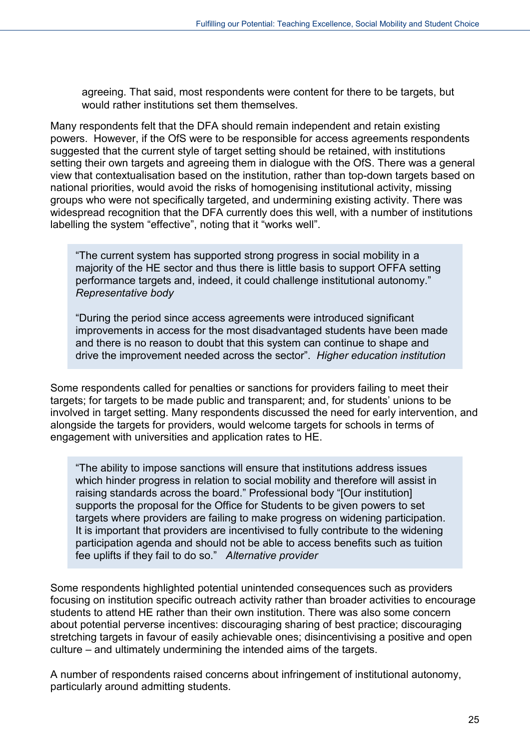agreeing. That said, most respondents were content for there to be targets, but would rather institutions set them themselves.

Many respondents felt that the DFA should remain independent and retain existing powers. However, if the OfS were to be responsible for access agreements respondents suggested that the current style of target setting should be retained, with institutions setting their own targets and agreeing them in dialogue with the OfS. There was a general view that contextualisation based on the institution, rather than top-down targets based on national priorities, would avoid the risks of homogenising institutional activity, missing groups who were not specifically targeted, and undermining existing activity. There was widespread recognition that the DFA currently does this well, with a number of institutions labelling the system "effective", noting that it "works well".

"The current system has supported strong progress in social mobility in a majority of the HE sector and thus there is little basis to support OFFA setting performance targets and, indeed, it could challenge institutional autonomy." *Representative body*

"During the period since access agreements were introduced significant improvements in access for the most disadvantaged students have been made and there is no reason to doubt that this system can continue to shape and drive the improvement needed across the sector". *Higher education institution*

Some respondents called for penalties or sanctions for providers failing to meet their targets; for targets to be made public and transparent; and, for students' unions to be involved in target setting. Many respondents discussed the need for early intervention, and alongside the targets for providers, would welcome targets for schools in terms of engagement with universities and application rates to HE.

"The ability to impose sanctions will ensure that institutions address issues which hinder progress in relation to social mobility and therefore will assist in raising standards across the board." Professional body "[Our institution] supports the proposal for the Office for Students to be given powers to set targets where providers are failing to make progress on widening participation. It is important that providers are incentivised to fully contribute to the widening participation agenda and should not be able to access benefits such as tuition fee uplifts if they fail to do so." *Alternative provider*

Some respondents highlighted potential unintended consequences such as providers focusing on institution specific outreach activity rather than broader activities to encourage students to attend HE rather than their own institution. There was also some concern about potential perverse incentives: discouraging sharing of best practice; discouraging stretching targets in favour of easily achievable ones; disincentivising a positive and open culture – and ultimately undermining the intended aims of the targets.

A number of respondents raised concerns about infringement of institutional autonomy, particularly around admitting students.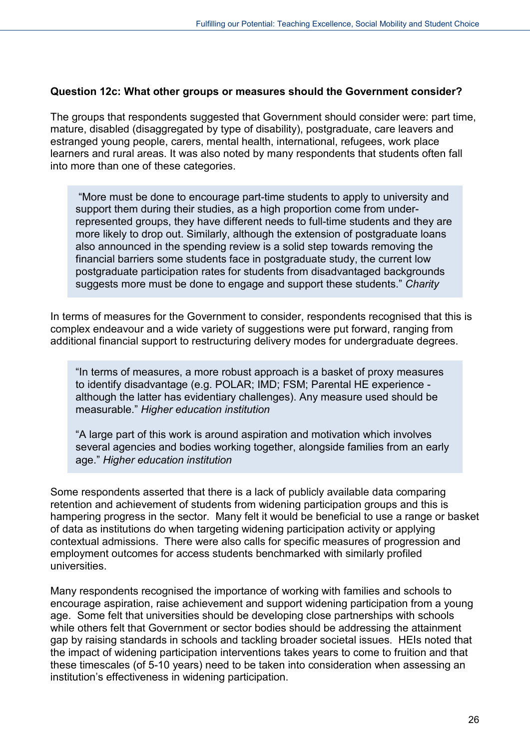#### **Question 12c: What other groups or measures should the Government consider?**

The groups that respondents suggested that Government should consider were: part time, mature, disabled (disaggregated by type of disability), postgraduate, care leavers and estranged young people, carers, mental health, international, refugees, work place learners and rural areas. It was also noted by many respondents that students often fall into more than one of these categories.

"More must be done to encourage part-time students to apply to university and support them during their studies, as a high proportion come from underrepresented groups, they have different needs to full-time students and they are more likely to drop out. Similarly, although the extension of postgraduate loans also announced in the spending review is a solid step towards removing the financial barriers some students face in postgraduate study, the current low postgraduate participation rates for students from disadvantaged backgrounds suggests more must be done to engage and support these students." *Charity*

In terms of measures for the Government to consider, respondents recognised that this is complex endeavour and a wide variety of suggestions were put forward, ranging from additional financial support to restructuring delivery modes for undergraduate degrees.

"In terms of measures, a more robust approach is a basket of proxy measures to identify disadvantage (e.g. POLAR; IMD; FSM; Parental HE experience although the latter has evidentiary challenges). Any measure used should be measurable." *Higher education institution*

"A large part of this work is around aspiration and motivation which involves several agencies and bodies working together, alongside families from an early age." *Higher education institution*

Some respondents asserted that there is a lack of publicly available data comparing retention and achievement of students from widening participation groups and this is hampering progress in the sector. Many felt it would be beneficial to use a range or basket of data as institutions do when targeting widening participation activity or applying contextual admissions. There were also calls for specific measures of progression and employment outcomes for access students benchmarked with similarly profiled universities.

Many respondents recognised the importance of working with families and schools to encourage aspiration, raise achievement and support widening participation from a young age. Some felt that universities should be developing close partnerships with schools while others felt that Government or sector bodies should be addressing the attainment gap by raising standards in schools and tackling broader societal issues. HEIs noted that the impact of widening participation interventions takes years to come to fruition and that these timescales (of 5-10 years) need to be taken into consideration when assessing an institution's effectiveness in widening participation.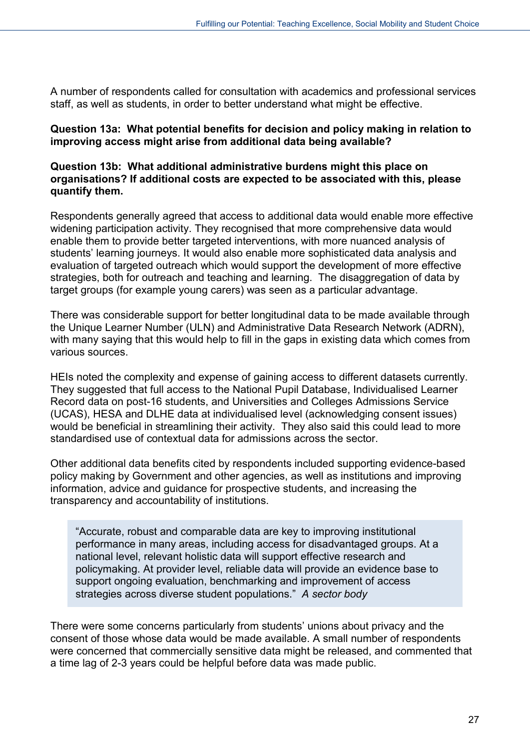A number of respondents called for consultation with academics and professional services staff, as well as students, in order to better understand what might be effective.

#### **Question 13a: What potential benefits for decision and policy making in relation to improving access might arise from additional data being available?**

#### **Question 13b: What additional administrative burdens might this place on organisations? If additional costs are expected to be associated with this, please quantify them.**

Respondents generally agreed that access to additional data would enable more effective widening participation activity. They recognised that more comprehensive data would enable them to provide better targeted interventions, with more nuanced analysis of students' learning journeys. It would also enable more sophisticated data analysis and evaluation of targeted outreach which would support the development of more effective strategies, both for outreach and teaching and learning. The disaggregation of data by target groups (for example young carers) was seen as a particular advantage.

There was considerable support for better longitudinal data to be made available through the Unique Learner Number (ULN) and Administrative Data Research Network (ADRN), with many saying that this would help to fill in the gaps in existing data which comes from various sources.

HEIs noted the complexity and expense of gaining access to different datasets currently. They suggested that full access to the National Pupil Database, Individualised Learner Record data on post-16 students, and Universities and Colleges Admissions Service (UCAS), HESA and DLHE data at individualised level (acknowledging consent issues) would be beneficial in streamlining their activity. They also said this could lead to more standardised use of contextual data for admissions across the sector.

Other additional data benefits cited by respondents included supporting evidence-based policy making by Government and other agencies, as well as institutions and improving information, advice and guidance for prospective students, and increasing the transparency and accountability of institutions.

"Accurate, robust and comparable data are key to improving institutional performance in many areas, including access for disadvantaged groups. At a national level, relevant holistic data will support effective research and policymaking. At provider level, reliable data will provide an evidence base to support ongoing evaluation, benchmarking and improvement of access strategies across diverse student populations." *A sector body*

There were some concerns particularly from students' unions about privacy and the consent of those whose data would be made available. A small number of respondents were concerned that commercially sensitive data might be released, and commented that a time lag of 2-3 years could be helpful before data was made public.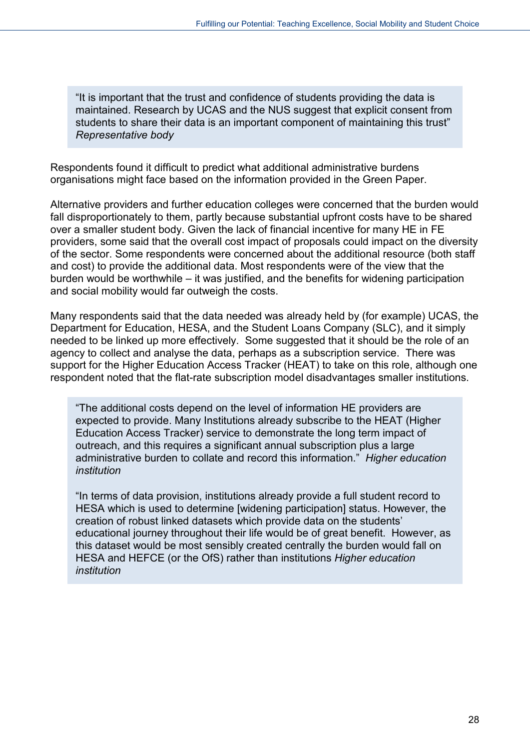"It is important that the trust and confidence of students providing the data is maintained. Research by UCAS and the NUS suggest that explicit consent from students to share their data is an important component of maintaining this trust" *Representative body*

Respondents found it difficult to predict what additional administrative burdens organisations might face based on the information provided in the Green Paper.

Alternative providers and further education colleges were concerned that the burden would fall disproportionately to them, partly because substantial upfront costs have to be shared over a smaller student body. Given the lack of financial incentive for many HE in FE providers, some said that the overall cost impact of proposals could impact on the diversity of the sector. Some respondents were concerned about the additional resource (both staff and cost) to provide the additional data. Most respondents were of the view that the burden would be worthwhile – it was justified, and the benefits for widening participation and social mobility would far outweigh the costs.

Many respondents said that the data needed was already held by (for example) UCAS, the Department for Education, HESA, and the Student Loans Company (SLC), and it simply needed to be linked up more effectively. Some suggested that it should be the role of an agency to collect and analyse the data, perhaps as a subscription service. There was support for the Higher Education Access Tracker (HEAT) to take on this role, although one respondent noted that the flat-rate subscription model disadvantages smaller institutions.

"The additional costs depend on the level of information HE providers are expected to provide. Many Institutions already subscribe to the HEAT (Higher Education Access Tracker) service to demonstrate the long term impact of outreach, and this requires a significant annual subscription plus a large administrative burden to collate and record this information." *Higher education institution*

"In terms of data provision, institutions already provide a full student record to HESA which is used to determine [widening participation] status. However, the creation of robust linked datasets which provide data on the students' educational journey throughout their life would be of great benefit. However, as this dataset would be most sensibly created centrally the burden would fall on HESA and HEFCE (or the OfS) rather than institutions *Higher education institution*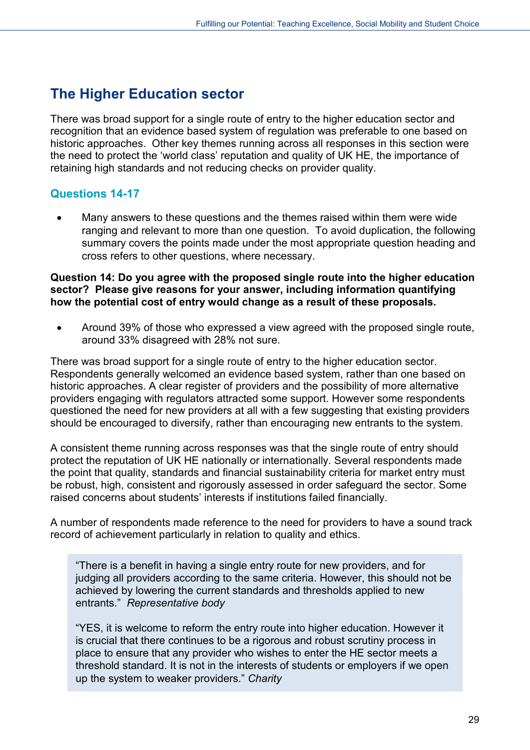# <span id="page-28-0"></span>**The Higher Education sector**

There was broad support for a single route of entry to the higher education sector and recognition that an evidence based system of regulation was preferable to one based on historic approaches. Other key themes running across all responses in this section were the need to protect the 'world class' reputation and quality of UK HE, the importance of retaining high standards and not reducing checks on provider quality.

### **Questions 14-17**

• Many answers to these questions and the themes raised within them were wide ranging and relevant to more than one question. To avoid duplication, the following summary covers the points made under the most appropriate question heading and cross refers to other questions, where necessary.

#### **Question 14: Do you agree with the proposed single route into the higher education sector? Please give reasons for your answer, including information quantifying how the potential cost of entry would change as a result of these proposals.**

• Around 39% of those who expressed a view agreed with the proposed single route, around 33% disagreed with 28% not sure.

There was broad support for a single route of entry to the higher education sector. Respondents generally welcomed an evidence based system, rather than one based on historic approaches. A clear register of providers and the possibility of more alternative providers engaging with regulators attracted some support. However some respondents questioned the need for new providers at all with a few suggesting that existing providers should be encouraged to diversify, rather than encouraging new entrants to the system.

A consistent theme running across responses was that the single route of entry should protect the reputation of UK HE nationally or internationally. Several respondents made the point that quality, standards and financial sustainability criteria for market entry must be robust, high, consistent and rigorously assessed in order safeguard the sector. Some raised concerns about students' interests if institutions failed financially.

A number of respondents made reference to the need for providers to have a sound track record of achievement particularly in relation to quality and ethics.

"There is a benefit in having a single entry route for new providers, and for judging all providers according to the same criteria. However, this should not be achieved by lowering the current standards and thresholds applied to new entrants." *Representative body*

"YES, it is welcome to reform the entry route into higher education. However it is crucial that there continues to be a rigorous and robust scrutiny process in place to ensure that any provider who wishes to enter the HE sector meets a threshold standard. It is not in the interests of students or employers if we open up the system to weaker providers." *Charity*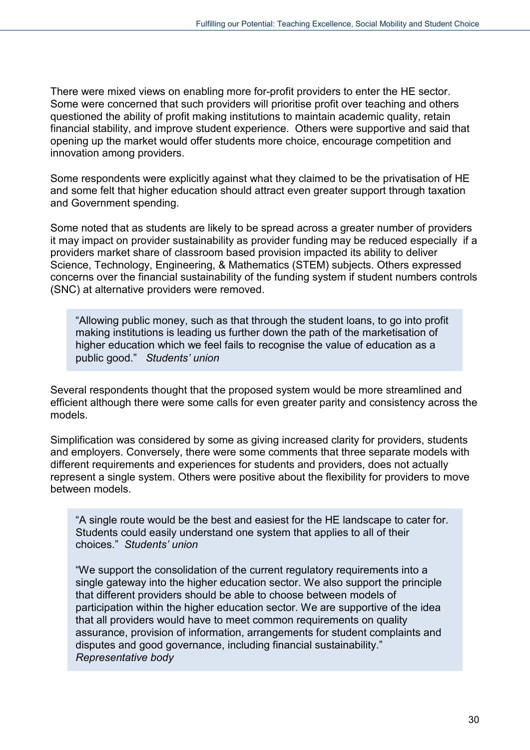There were mixed views on enabling more for-profit providers to enter the HE sector. Some were concerned that such providers will prioritise profit over teaching and others questioned the ability of profit making institutions to maintain academic quality, retain financial stability, and improve student experience. Others were supportive and said that opening up the market would offer students more choice, encourage competition and innovation among providers.

Some respondents were explicitly against what they claimed to be the privatisation of HE and some felt that higher education should attract even greater support through taxation and Government spending.

Some noted that as students are likely to be spread across a greater number of providers it may impact on provider sustainability as provider funding may be reduced especially if a providers market share of classroom based provision impacted its ability to deliver Science, Technology, Engineering, & Mathematics (STEM) subjects. Others expressed concerns over the financial sustainability of the funding system if student numbers controls (SNC) at alternative providers were removed.

"Allowing public money, such as that through the student loans, to go into profit making institutions is leading us further down the path of the marketisation of higher education which we feel fails to recognise the value of education as a public good." *Students' union*

Several respondents thought that the proposed system would be more streamlined and efficient although there were some calls for even greater parity and consistency across the models.

Simplification was considered by some as giving increased clarity for providers, students and employers. Conversely, there were some comments that three separate models with different requirements and experiences for students and providers, does not actually represent a single system. Others were positive about the flexibility for providers to move between models.

"A single route would be the best and easiest for the HE landscape to cater for. Students could easily understand one system that applies to all of their choices." *Students' union*

"We support the consolidation of the current regulatory requirements into a single gateway into the higher education sector. We also support the principle that different providers should be able to choose between models of participation within the higher education sector. We are supportive of the idea that all providers would have to meet common requirements on quality assurance, provision of information, arrangements for student complaints and disputes and good governance, including financial sustainability." *Representative body*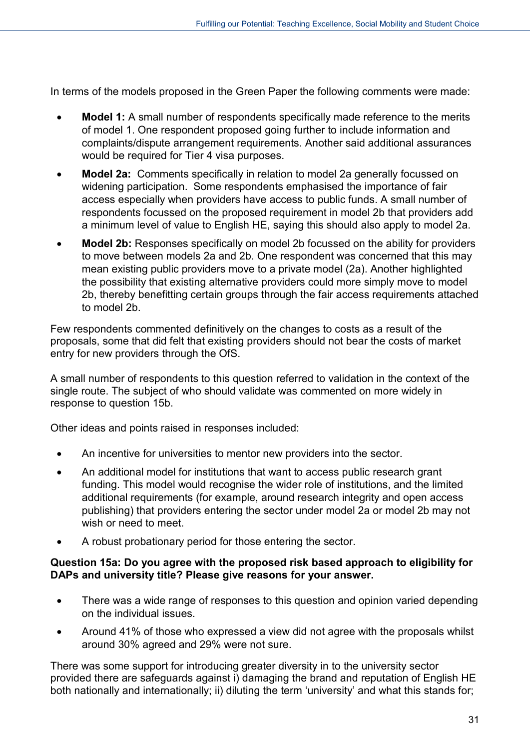In terms of the models proposed in the Green Paper the following comments were made:

- **Model 1:** A small number of respondents specifically made reference to the merits of model 1. One respondent proposed going further to include information and complaints/dispute arrangement requirements. Another said additional assurances would be required for Tier 4 visa purposes.
- **Model 2a:** Comments specifically in relation to model 2a generally focussed on widening participation. Some respondents emphasised the importance of fair access especially when providers have access to public funds. A small number of respondents focussed on the proposed requirement in model 2b that providers add a minimum level of value to English HE, saying this should also apply to model 2a.
- **Model 2b:** Responses specifically on model 2b focussed on the ability for providers to move between models 2a and 2b. One respondent was concerned that this may mean existing public providers move to a private model (2a). Another highlighted the possibility that existing alternative providers could more simply move to model 2b, thereby benefitting certain groups through the fair access requirements attached to model 2b.

Few respondents commented definitively on the changes to costs as a result of the proposals, some that did felt that existing providers should not bear the costs of market entry for new providers through the OfS.

A small number of respondents to this question referred to validation in the context of the single route. The subject of who should validate was commented on more widely in response to question 15b.

Other ideas and points raised in responses included:

- An incentive for universities to mentor new providers into the sector.
- An additional model for institutions that want to access public research grant funding. This model would recognise the wider role of institutions, and the limited additional requirements (for example, around research integrity and open access publishing) that providers entering the sector under model 2a or model 2b may not wish or need to meet.
- A robust probationary period for those entering the sector.

#### **Question 15a: Do you agree with the proposed risk based approach to eligibility for DAPs and university title? Please give reasons for your answer.**

- There was a wide range of responses to this question and opinion varied depending on the individual issues.
- Around 41% of those who expressed a view did not agree with the proposals whilst around 30% agreed and 29% were not sure.

There was some support for introducing greater diversity in to the university sector provided there are safeguards against i) damaging the brand and reputation of English HE both nationally and internationally; ii) diluting the term 'university' and what this stands for;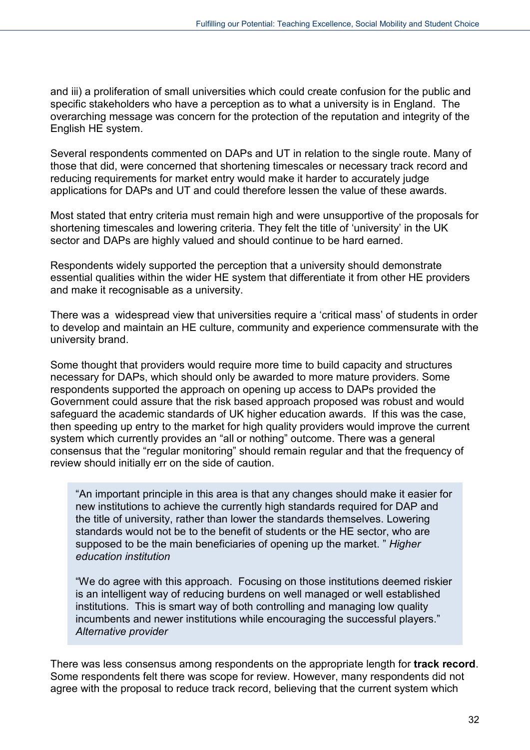and iii) a proliferation of small universities which could create confusion for the public and specific stakeholders who have a perception as to what a university is in England. The overarching message was concern for the protection of the reputation and integrity of the English HE system.

Several respondents commented on DAPs and UT in relation to the single route. Many of those that did, were concerned that shortening timescales or necessary track record and reducing requirements for market entry would make it harder to accurately judge applications for DAPs and UT and could therefore lessen the value of these awards.

Most stated that entry criteria must remain high and were unsupportive of the proposals for shortening timescales and lowering criteria. They felt the title of 'university' in the UK sector and DAPs are highly valued and should continue to be hard earned.

Respondents widely supported the perception that a university should demonstrate essential qualities within the wider HE system that differentiate it from other HE providers and make it recognisable as a university.

There was a widespread view that universities require a 'critical mass' of students in order to develop and maintain an HE culture, community and experience commensurate with the university brand.

Some thought that providers would require more time to build capacity and structures necessary for DAPs, which should only be awarded to more mature providers. Some respondents supported the approach on opening up access to DAPs provided the Government could assure that the risk based approach proposed was robust and would safeguard the academic standards of UK higher education awards. If this was the case, then speeding up entry to the market for high quality providers would improve the current system which currently provides an "all or nothing" outcome. There was a general consensus that the "regular monitoring" should remain regular and that the frequency of review should initially err on the side of caution.

"An important principle in this area is that any changes should make it easier for new institutions to achieve the currently high standards required for DAP and the title of university, rather than lower the standards themselves. Lowering standards would not be to the benefit of students or the HE sector, who are supposed to be the main beneficiaries of opening up the market. " *Higher education institution*

"We do agree with this approach. Focusing on those institutions deemed riskier is an intelligent way of reducing burdens on well managed or well established institutions. This is smart way of both controlling and managing low quality incumbents and newer institutions while encouraging the successful players." *Alternative provider*

There was less consensus among respondents on the appropriate length for **track record**. Some respondents felt there was scope for review. However, many respondents did not agree with the proposal to reduce track record, believing that the current system which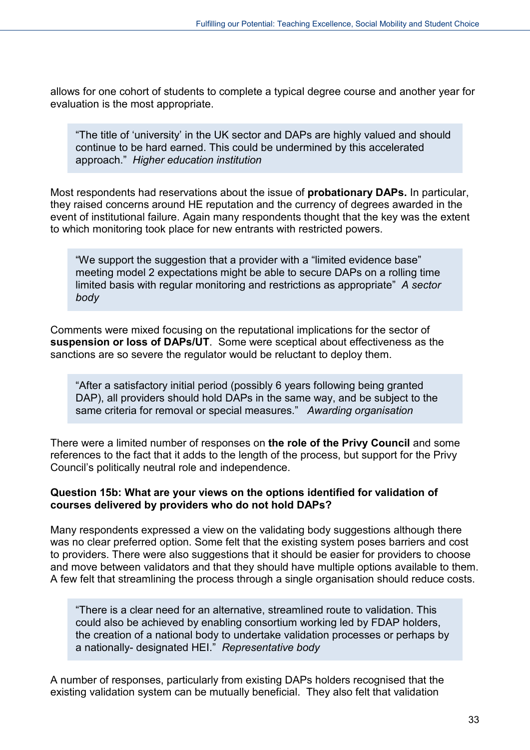allows for one cohort of students to complete a typical degree course and another year for evaluation is the most appropriate.

"The title of 'university' in the UK sector and DAPs are highly valued and should continue to be hard earned. This could be undermined by this accelerated approach." *Higher education institution*

Most respondents had reservations about the issue of **probationary DAPs.** In particular, they raised concerns around HE reputation and the currency of degrees awarded in the event of institutional failure. Again many respondents thought that the key was the extent to which monitoring took place for new entrants with restricted powers.

"We support the suggestion that a provider with a "limited evidence base" meeting model 2 expectations might be able to secure DAPs on a rolling time limited basis with regular monitoring and restrictions as appropriate" *A sector body*

Comments were mixed focusing on the reputational implications for the sector of **suspension or loss of DAPs/UT**. Some were sceptical about effectiveness as the sanctions are so severe the regulator would be reluctant to deploy them.

"After a satisfactory initial period (possibly 6 years following being granted DAP), all providers should hold DAPs in the same way, and be subject to the same criteria for removal or special measures." *Awarding organisation*

There were a limited number of responses on **the role of the Privy Council** and some references to the fact that it adds to the length of the process, but support for the Privy Council's politically neutral role and independence.

#### **Question 15b: What are your views on the options identified for validation of courses delivered by providers who do not hold DAPs?**

Many respondents expressed a view on the validating body suggestions although there was no clear preferred option. Some felt that the existing system poses barriers and cost to providers. There were also suggestions that it should be easier for providers to choose and move between validators and that they should have multiple options available to them. A few felt that streamlining the process through a single organisation should reduce costs.

"There is a clear need for an alternative, streamlined route to validation. This could also be achieved by enabling consortium working led by FDAP holders, the creation of a national body to undertake validation processes or perhaps by a nationally- designated HEI." *Representative body*

A number of responses, particularly from existing DAPs holders recognised that the existing validation system can be mutually beneficial. They also felt that validation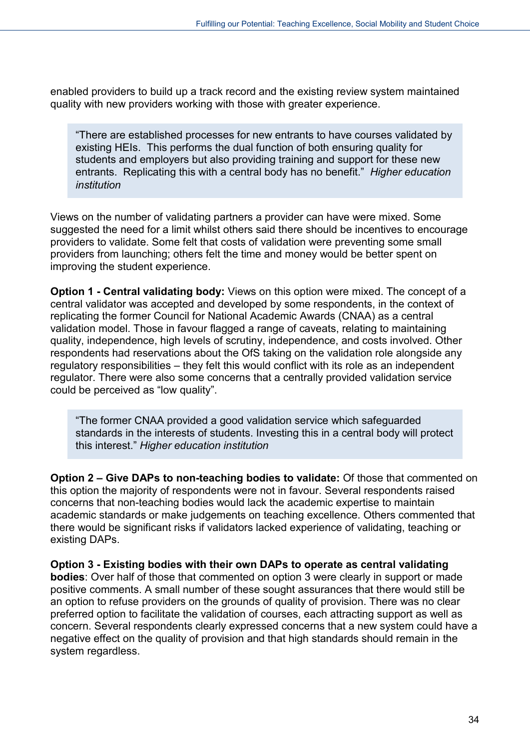enabled providers to build up a track record and the existing review system maintained quality with new providers working with those with greater experience.

"There are established processes for new entrants to have courses validated by existing HEIs. This performs the dual function of both ensuring quality for students and employers but also providing training and support for these new entrants. Replicating this with a central body has no benefit." *Higher education institution* 

Views on the number of validating partners a provider can have were mixed. Some suggested the need for a limit whilst others said there should be incentives to encourage providers to validate. Some felt that costs of validation were preventing some small providers from launching; others felt the time and money would be better spent on improving the student experience.

**Option 1 - Central validating body:** Views on this option were mixed. The concept of a central validator was accepted and developed by some respondents, in the context of replicating the former Council for National Academic Awards (CNAA) as a central validation model. Those in favour flagged a range of caveats, relating to maintaining quality, independence, high levels of scrutiny, independence, and costs involved. Other respondents had reservations about the OfS taking on the validation role alongside any regulatory responsibilities – they felt this would conflict with its role as an independent regulator. There were also some concerns that a centrally provided validation service could be perceived as "low quality".

"The former CNAA provided a good validation service which safeguarded standards in the interests of students. Investing this in a central body will protect this interest." *Higher education institution*

**Option 2 – Give DAPs to non-teaching bodies to validate:** Of those that commented on this option the majority of respondents were not in favour. Several respondents raised concerns that non-teaching bodies would lack the academic expertise to maintain academic standards or make judgements on teaching excellence. Others commented that there would be significant risks if validators lacked experience of validating, teaching or existing DAPs.

**Option 3 - Existing bodies with their own DAPs to operate as central validating bodies**: Over half of those that commented on option 3 were clearly in support or made positive comments. A small number of these sought assurances that there would still be an option to refuse providers on the grounds of quality of provision. There was no clear preferred option to facilitate the validation of courses, each attracting support as well as concern. Several respondents clearly expressed concerns that a new system could have a negative effect on the quality of provision and that high standards should remain in the system regardless.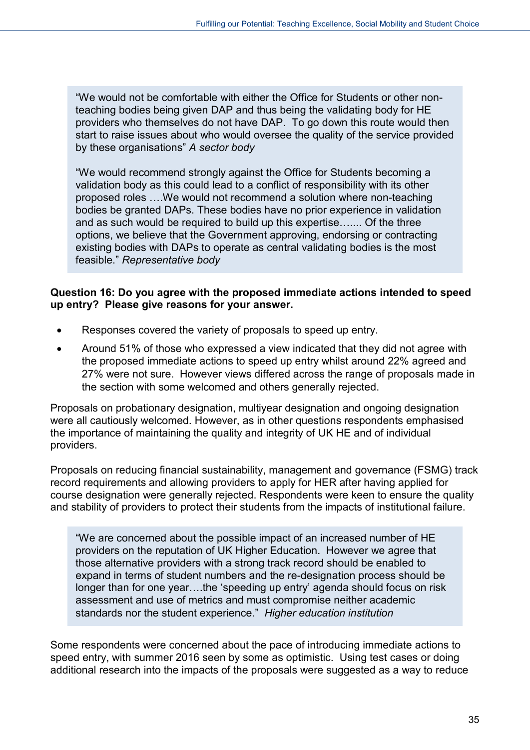"We would not be comfortable with either the Office for Students or other nonteaching bodies being given DAP and thus being the validating body for HE providers who themselves do not have DAP. To go down this route would then start to raise issues about who would oversee the quality of the service provided by these organisations" *A sector body*

"We would recommend strongly against the Office for Students becoming a validation body as this could lead to a conflict of responsibility with its other proposed roles ….We would not recommend a solution where non-teaching bodies be granted DAPs. These bodies have no prior experience in validation and as such would be required to build up this expertise….... Of the three options, we believe that the Government approving, endorsing or contracting existing bodies with DAPs to operate as central validating bodies is the most feasible." *Representative body*

#### **Question 16: Do you agree with the proposed immediate actions intended to speed up entry? Please give reasons for your answer.**

- Responses covered the variety of proposals to speed up entry.
- Around 51% of those who expressed a view indicated that they did not agree with the proposed immediate actions to speed up entry whilst around 22% agreed and 27% were not sure. However views differed across the range of proposals made in the section with some welcomed and others generally rejected.

Proposals on probationary designation, multiyear designation and ongoing designation were all cautiously welcomed. However, as in other questions respondents emphasised the importance of maintaining the quality and integrity of UK HE and of individual providers.

Proposals on reducing financial sustainability, management and governance (FSMG) track record requirements and allowing providers to apply for HER after having applied for course designation were generally rejected. Respondents were keen to ensure the quality and stability of providers to protect their students from the impacts of institutional failure.

"We are concerned about the possible impact of an increased number of HE providers on the reputation of UK Higher Education. However we agree that those alternative providers with a strong track record should be enabled to expand in terms of student numbers and the re-designation process should be longer than for one year….the 'speeding up entry' agenda should focus on risk assessment and use of metrics and must compromise neither academic standards nor the student experience." *Higher education institution*

Some respondents were concerned about the pace of introducing immediate actions to speed entry, with summer 2016 seen by some as optimistic. Using test cases or doing additional research into the impacts of the proposals were suggested as a way to reduce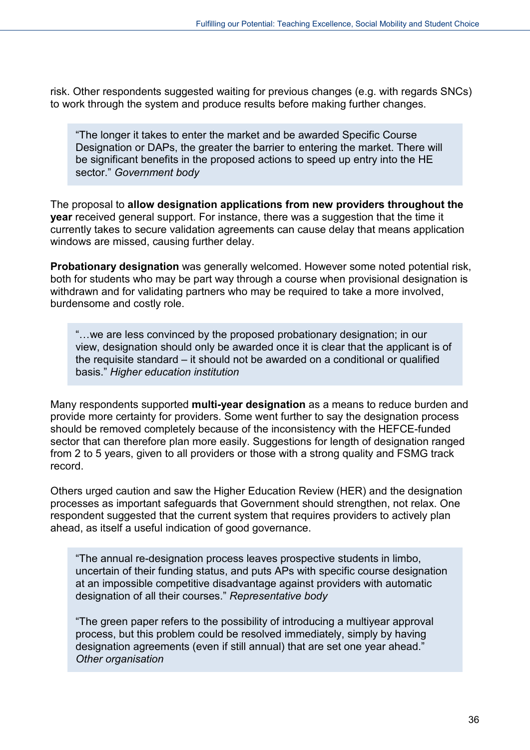risk. Other respondents suggested waiting for previous changes (e.g. with regards SNCs) to work through the system and produce results before making further changes.

"The longer it takes to enter the market and be awarded Specific Course Designation or DAPs, the greater the barrier to entering the market. There will be significant benefits in the proposed actions to speed up entry into the HE sector." *Government body*

The proposal to **allow designation applications from new providers throughout the year** received general support. For instance, there was a suggestion that the time it currently takes to secure validation agreements can cause delay that means application windows are missed, causing further delay.

**Probationary designation** was generally welcomed. However some noted potential risk, both for students who may be part way through a course when provisional designation is withdrawn and for validating partners who may be required to take a more involved, burdensome and costly role.

"…we are less convinced by the proposed probationary designation; in our view, designation should only be awarded once it is clear that the applicant is of the requisite standard – it should not be awarded on a conditional or qualified basis." *Higher education institution*

Many respondents supported **multi-year designation** as a means to reduce burden and provide more certainty for providers. Some went further to say the designation process should be removed completely because of the inconsistency with the HEFCE-funded sector that can therefore plan more easily. Suggestions for length of designation ranged from 2 to 5 years, given to all providers or those with a strong quality and FSMG track record.

Others urged caution and saw the Higher Education Review (HER) and the designation processes as important safeguards that Government should strengthen, not relax. One respondent suggested that the current system that requires providers to actively plan ahead, as itself a useful indication of good governance.

"The annual re-designation process leaves prospective students in limbo, uncertain of their funding status, and puts APs with specific course designation at an impossible competitive disadvantage against providers with automatic designation of all their courses." *Representative body*

"The green paper refers to the possibility of introducing a multiyear approval process, but this problem could be resolved immediately, simply by having designation agreements (even if still annual) that are set one year ahead." *Other organisation*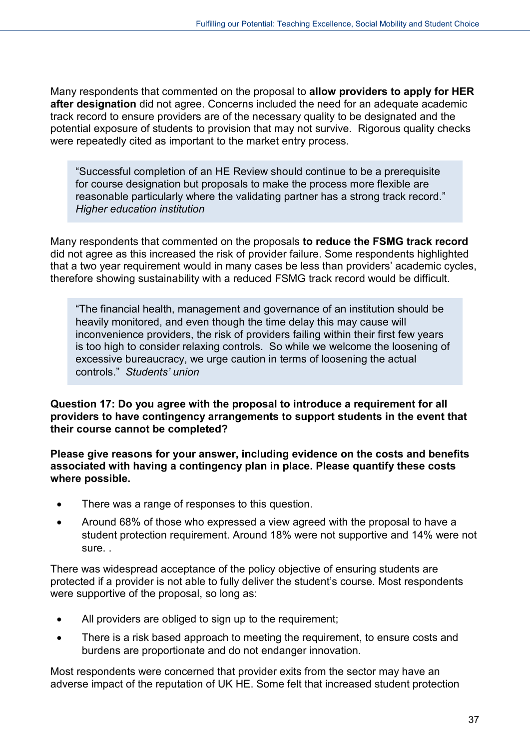Many respondents that commented on the proposal to **allow providers to apply for HER after designation** did not agree. Concerns included the need for an adequate academic track record to ensure providers are of the necessary quality to be designated and the potential exposure of students to provision that may not survive. Rigorous quality checks were repeatedly cited as important to the market entry process.

"Successful completion of an HE Review should continue to be a prerequisite for course designation but proposals to make the process more flexible are reasonable particularly where the validating partner has a strong track record." *Higher education institution*

Many respondents that commented on the proposals **to reduce the FSMG track record** did not agree as this increased the risk of provider failure. Some respondents highlighted that a two year requirement would in many cases be less than providers' academic cycles, therefore showing sustainability with a reduced FSMG track record would be difficult.

"The financial health, management and governance of an institution should be heavily monitored, and even though the time delay this may cause will inconvenience providers, the risk of providers failing within their first few years is too high to consider relaxing controls. So while we welcome the loosening of excessive bureaucracy, we urge caution in terms of loosening the actual controls." *Students' union*

#### **Question 17: Do you agree with the proposal to introduce a requirement for all providers to have contingency arrangements to support students in the event that their course cannot be completed?**

**Please give reasons for your answer, including evidence on the costs and benefits associated with having a contingency plan in place. Please quantify these costs where possible.** 

- There was a range of responses to this question.
- Around 68% of those who expressed a view agreed with the proposal to have a student protection requirement. Around 18% were not supportive and 14% were not sure. .

There was widespread acceptance of the policy objective of ensuring students are protected if a provider is not able to fully deliver the student's course. Most respondents were supportive of the proposal, so long as:

- All providers are obliged to sign up to the requirement;
- There is a risk based approach to meeting the requirement, to ensure costs and burdens are proportionate and do not endanger innovation.

Most respondents were concerned that provider exits from the sector may have an adverse impact of the reputation of UK HE. Some felt that increased student protection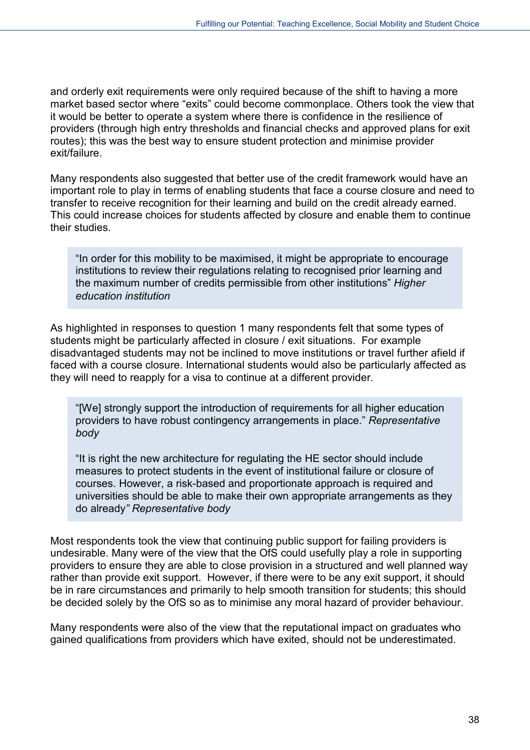and orderly exit requirements were only required because of the shift to having a more market based sector where "exits" could become commonplace. Others took the view that it would be better to operate a system where there is confidence in the resilience of providers (through high entry thresholds and financial checks and approved plans for exit routes); this was the best way to ensure student protection and minimise provider exit/failure.

Many respondents also suggested that better use of the credit framework would have an important role to play in terms of enabling students that face a course closure and need to transfer to receive recognition for their learning and build on the credit already earned. This could increase choices for students affected by closure and enable them to continue their studies.

"In order for this mobility to be maximised, it might be appropriate to encourage institutions to review their regulations relating to recognised prior learning and the maximum number of credits permissible from other institutions" *Higher education institution*

As highlighted in responses to question 1 many respondents felt that some types of students might be particularly affected in closure / exit situations. For example disadvantaged students may not be inclined to move institutions or travel further afield if faced with a course closure. International students would also be particularly affected as they will need to reapply for a visa to continue at a different provider.

"[We] strongly support the introduction of requirements for all higher education providers to have robust contingency arrangements in place." *Representative body*

"It is right the new architecture for regulating the HE sector should include measures to protect students in the event of institutional failure or closure of courses. However, a risk-based and proportionate approach is required and universities should be able to make their own appropriate arrangements as they do already*" Representative body*

Most respondents took the view that continuing public support for failing providers is undesirable. Many were of the view that the OfS could usefully play a role in supporting providers to ensure they are able to close provision in a structured and well planned way rather than provide exit support. However, if there were to be any exit support, it should be in rare circumstances and primarily to help smooth transition for students; this should be decided solely by the OfS so as to minimise any moral hazard of provider behaviour.

Many respondents were also of the view that the reputational impact on graduates who gained qualifications from providers which have exited, should not be underestimated.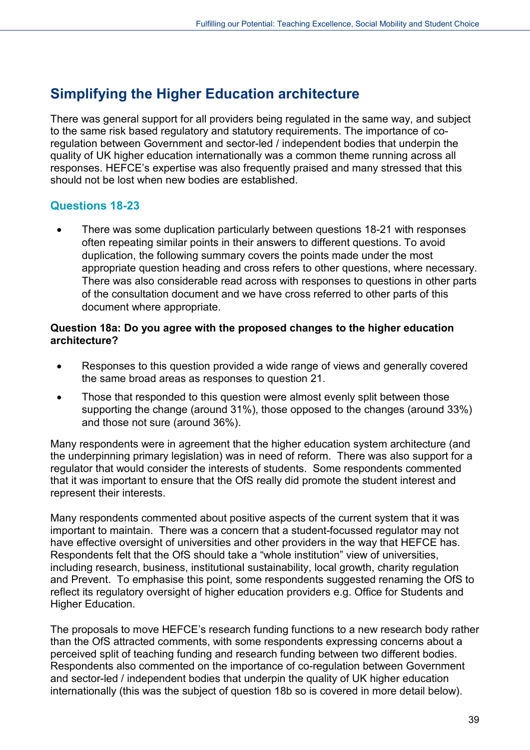## <span id="page-38-0"></span>**Simplifying the Higher Education architecture**

There was general support for all providers being regulated in the same way, and subject to the same risk based regulatory and statutory requirements. The importance of coregulation between Government and sector-led / independent bodies that underpin the quality of UK higher education internationally was a common theme running across all responses. HEFCE's expertise was also frequently praised and many stressed that this should not be lost when new bodies are established.

## **Questions 18-23**

• There was some duplication particularly between questions 18-21 with responses often repeating similar points in their answers to different questions. To avoid duplication, the following summary covers the points made under the most appropriate question heading and cross refers to other questions, where necessary. There was also considerable read across with responses to questions in other parts of the consultation document and we have cross referred to other parts of this document where appropriate.

#### **Question 18a: Do you agree with the proposed changes to the higher education architecture?**

- Responses to this question provided a wide range of views and generally covered the same broad areas as responses to question 21.
- Those that responded to this question were almost evenly split between those supporting the change (around 31%), those opposed to the changes (around 33%) and those not sure (around 36%).

Many respondents were in agreement that the higher education system architecture (and the underpinning primary legislation) was in need of reform. There was also support for a regulator that would consider the interests of students. Some respondents commented that it was important to ensure that the OfS really did promote the student interest and represent their interests.

Many respondents commented about positive aspects of the current system that it was important to maintain. There was a concern that a student-focussed regulator may not have effective oversight of universities and other providers in the way that HEFCE has. Respondents felt that the OfS should take a "whole institution" view of universities, including research, business, institutional sustainability, local growth, charity regulation and Prevent. To emphasise this point, some respondents suggested renaming the OfS to reflect its regulatory oversight of higher education providers e.g. Office for Students and Higher Education.

The proposals to move HEFCE's research funding functions to a new research body rather than the OfS attracted comments, with some respondents expressing concerns about a perceived split of teaching funding and research funding between two different bodies. Respondents also commented on the importance of co-regulation between Government and sector-led / independent bodies that underpin the quality of UK higher education internationally (this was the subject of question 18b so is covered in more detail below).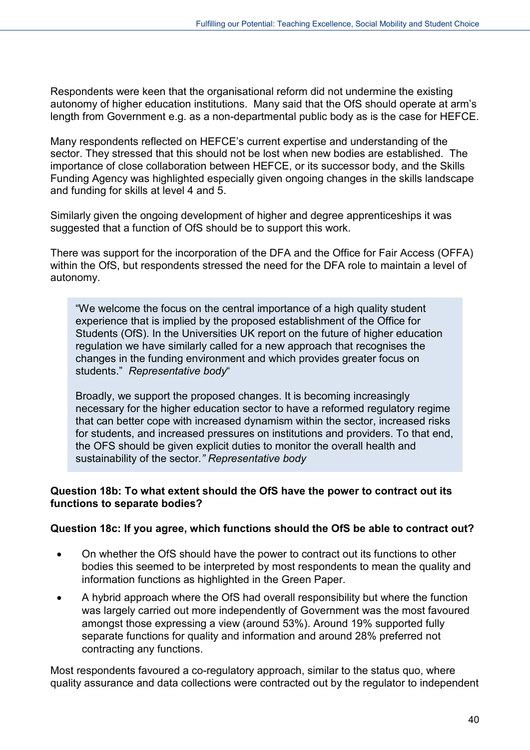Respondents were keen that the organisational reform did not undermine the existing autonomy of higher education institutions. Many said that the OfS should operate at arm's length from Government e.g. as a non-departmental public body as is the case for HEFCE.

Many respondents reflected on HEFCE's current expertise and understanding of the sector. They stressed that this should not be lost when new bodies are established. The importance of close collaboration between HEFCE, or its successor body, and the Skills Funding Agency was highlighted especially given ongoing changes in the skills landscape and funding for skills at level 4 and 5.

Similarly given the ongoing development of higher and degree apprenticeships it was suggested that a function of OfS should be to support this work.

There was support for the incorporation of the DFA and the Office for Fair Access (OFFA) within the OfS, but respondents stressed the need for the DFA role to maintain a level of autonomy.

"We welcome the focus on the central importance of a high quality student experience that is implied by the proposed establishment of the Office for Students (OfS). In the Universities UK report on the future of higher education regulation we have similarly called for a new approach that recognises the changes in the funding environment and which provides greater focus on students." *Representative body*"

Broadly, we support the proposed changes. It is becoming increasingly necessary for the higher education sector to have a reformed regulatory regime that can better cope with increased dynamism within the sector, increased risks for students, and increased pressures on institutions and providers. To that end, the OFS should be given explicit duties to monitor the overall health and sustainability of the sector*." Representative body*

#### **Question 18b: To what extent should the OfS have the power to contract out its functions to separate bodies?**

#### **Question 18c: If you agree, which functions should the OfS be able to contract out?**

- On whether the OfS should have the power to contract out its functions to other bodies this seemed to be interpreted by most respondents to mean the quality and information functions as highlighted in the Green Paper.
- A hybrid approach where the OfS had overall responsibility but where the function was largely carried out more independently of Government was the most favoured amongst those expressing a view (around 53%). Around 19% supported fully separate functions for quality and information and around 28% preferred not contracting any functions.

Most respondents favoured a co-regulatory approach, similar to the status quo, where quality assurance and data collections were contracted out by the regulator to independent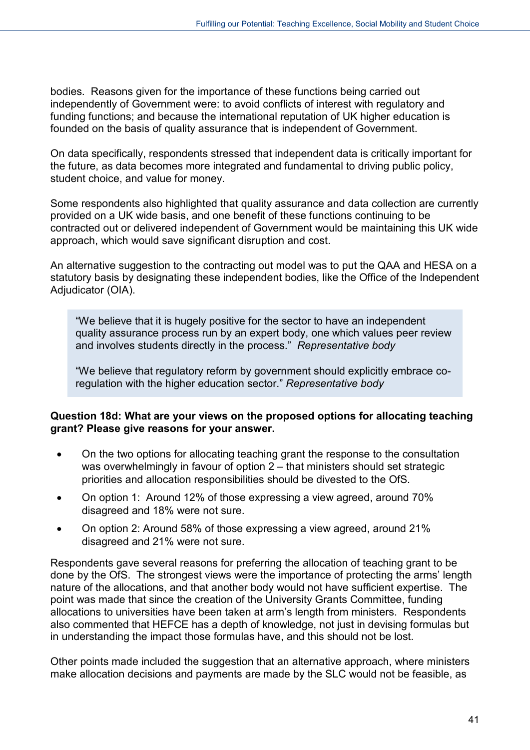bodies. Reasons given for the importance of these functions being carried out independently of Government were: to avoid conflicts of interest with regulatory and funding functions; and because the international reputation of UK higher education is founded on the basis of quality assurance that is independent of Government.

On data specifically, respondents stressed that independent data is critically important for the future, as data becomes more integrated and fundamental to driving public policy, student choice, and value for money.

Some respondents also highlighted that quality assurance and data collection are currently provided on a UK wide basis, and one benefit of these functions continuing to be contracted out or delivered independent of Government would be maintaining this UK wide approach, which would save significant disruption and cost.

An alternative suggestion to the contracting out model was to put the QAA and HESA on a statutory basis by designating these independent bodies, like the Office of the Independent Adjudicator (OIA).

"We believe that it is hugely positive for the sector to have an independent quality assurance process run by an expert body, one which values peer review and involves students directly in the process." *Representative body*

"We believe that regulatory reform by government should explicitly embrace coregulation with the higher education sector." *Representative body*

#### **Question 18d: What are your views on the proposed options for allocating teaching grant? Please give reasons for your answer.**

- On the two options for allocating teaching grant the response to the consultation was overwhelmingly in favour of option 2 – that ministers should set strategic priorities and allocation responsibilities should be divested to the OfS.
- On option 1: Around 12% of those expressing a view agreed, around 70% disagreed and 18% were not sure.
- On option 2: Around 58% of those expressing a view agreed, around 21% disagreed and 21% were not sure.

Respondents gave several reasons for preferring the allocation of teaching grant to be done by the OfS. The strongest views were the importance of protecting the arms' length nature of the allocations, and that another body would not have sufficient expertise. The point was made that since the creation of the University Grants Committee, funding allocations to universities have been taken at arm's length from ministers. Respondents also commented that HEFCE has a depth of knowledge, not just in devising formulas but in understanding the impact those formulas have, and this should not be lost.

Other points made included the suggestion that an alternative approach, where ministers make allocation decisions and payments are made by the SLC would not be feasible, as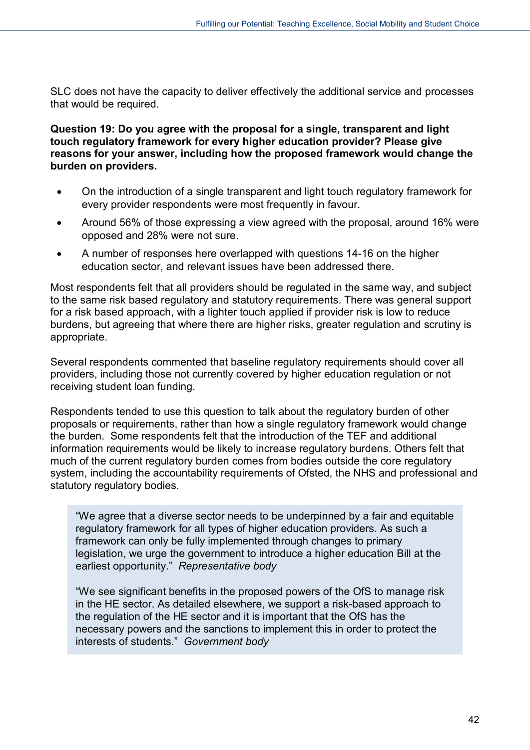SLC does not have the capacity to deliver effectively the additional service and processes that would be required.

**Question 19: Do you agree with the proposal for a single, transparent and light touch regulatory framework for every higher education provider? Please give reasons for your answer, including how the proposed framework would change the burden on providers.**

- On the introduction of a single transparent and light touch regulatory framework for every provider respondents were most frequently in favour.
- Around 56% of those expressing a view agreed with the proposal, around 16% were opposed and 28% were not sure.
- A number of responses here overlapped with questions 14-16 on the higher education sector, and relevant issues have been addressed there.

Most respondents felt that all providers should be regulated in the same way, and subject to the same risk based regulatory and statutory requirements. There was general support for a risk based approach, with a lighter touch applied if provider risk is low to reduce burdens, but agreeing that where there are higher risks, greater regulation and scrutiny is appropriate.

Several respondents commented that baseline regulatory requirements should cover all providers, including those not currently covered by higher education regulation or not receiving student loan funding.

Respondents tended to use this question to talk about the regulatory burden of other proposals or requirements, rather than how a single regulatory framework would change the burden. Some respondents felt that the introduction of the TEF and additional information requirements would be likely to increase regulatory burdens. Others felt that much of the current regulatory burden comes from bodies outside the core regulatory system, including the accountability requirements of Ofsted, the NHS and professional and statutory regulatory bodies.

"We agree that a diverse sector needs to be underpinned by a fair and equitable regulatory framework for all types of higher education providers. As such a framework can only be fully implemented through changes to primary legislation, we urge the government to introduce a higher education Bill at the earliest opportunity." *Representative body*

"We see significant benefits in the proposed powers of the OfS to manage risk in the HE sector. As detailed elsewhere, we support a risk-based approach to the regulation of the HE sector and it is important that the OfS has the necessary powers and the sanctions to implement this in order to protect the interests of students." *Government body*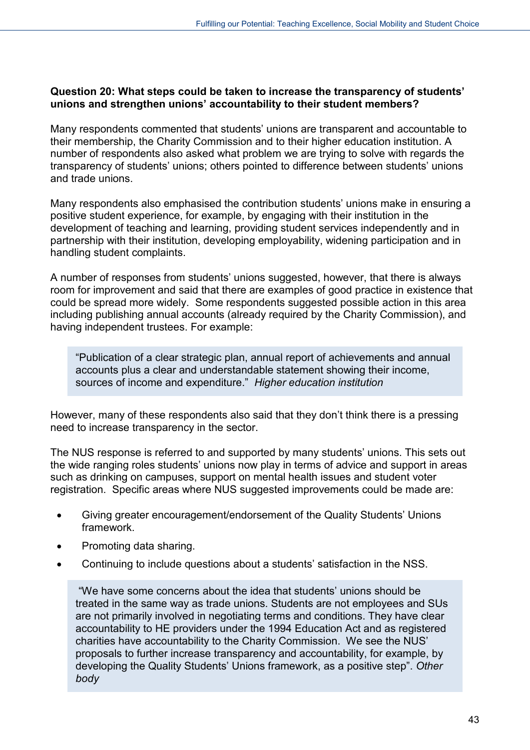#### **Question 20: What steps could be taken to increase the transparency of students' unions and strengthen unions' accountability to their student members?**

Many respondents commented that students' unions are transparent and accountable to their membership, the Charity Commission and to their higher education institution. A number of respondents also asked what problem we are trying to solve with regards the transparency of students' unions; others pointed to difference between students' unions and trade unions.

Many respondents also emphasised the contribution students' unions make in ensuring a positive student experience, for example, by engaging with their institution in the development of teaching and learning, providing student services independently and in partnership with their institution, developing employability, widening participation and in handling student complaints.

A number of responses from students' unions suggested, however, that there is always room for improvement and said that there are examples of good practice in existence that could be spread more widely. Some respondents suggested possible action in this area including publishing annual accounts (already required by the Charity Commission), and having independent trustees. For example:

"Publication of a clear strategic plan, annual report of achievements and annual accounts plus a clear and understandable statement showing their income, sources of income and expenditure." *Higher education institution*

However, many of these respondents also said that they don't think there is a pressing need to increase transparency in the sector.

The NUS response is referred to and supported by many students' unions. This sets out the wide ranging roles students' unions now play in terms of advice and support in areas such as drinking on campuses, support on mental health issues and student voter registration. Specific areas where NUS suggested improvements could be made are:

- Giving greater encouragement/endorsement of the Quality Students' Unions framework.
- Promoting data sharing.
- Continuing to include questions about a students' satisfaction in the NSS.

"We have some concerns about the idea that students' unions should be treated in the same way as trade unions. Students are not employees and SUs are not primarily involved in negotiating terms and conditions. They have clear accountability to HE providers under the 1994 Education Act and as registered charities have accountability to the Charity Commission. We see the NUS' proposals to further increase transparency and accountability, for example, by developing the Quality Students' Unions framework, as a positive step". *Other body*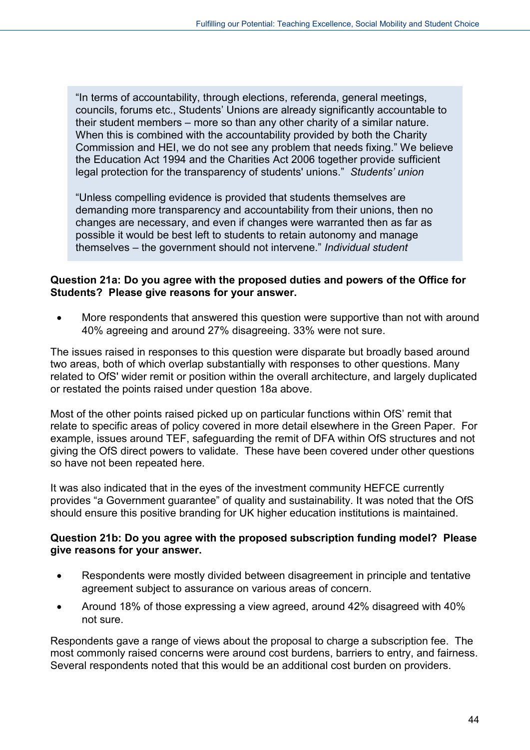"In terms of accountability, through elections, referenda, general meetings, councils, forums etc., Students' Unions are already significantly accountable to their student members – more so than any other charity of a similar nature. When this is combined with the accountability provided by both the Charity Commission and HEI, we do not see any problem that needs fixing." We believe the Education Act 1994 and the Charities Act 2006 together provide sufficient legal protection for the transparency of students' unions." *Students' union*

"Unless compelling evidence is provided that students themselves are demanding more transparency and accountability from their unions, then no changes are necessary, and even if changes were warranted then as far as possible it would be best left to students to retain autonomy and manage themselves – the government should not intervene." *Individual student*

#### **Question 21a: Do you agree with the proposed duties and powers of the Office for Students? Please give reasons for your answer.**

• More respondents that answered this question were supportive than not with around 40% agreeing and around 27% disagreeing. 33% were not sure.

The issues raised in responses to this question were disparate but broadly based around two areas, both of which overlap substantially with responses to other questions. Many related to OfS' wider remit or position within the overall architecture, and largely duplicated or restated the points raised under question 18a above.

Most of the other points raised picked up on particular functions within OfS' remit that relate to specific areas of policy covered in more detail elsewhere in the Green Paper. For example, issues around TEF, safeguarding the remit of DFA within OfS structures and not giving the OfS direct powers to validate. These have been covered under other questions so have not been repeated here.

It was also indicated that in the eyes of the investment community HEFCE currently provides "a Government guarantee" of quality and sustainability. It was noted that the OfS should ensure this positive branding for UK higher education institutions is maintained.

#### **Question 21b: Do you agree with the proposed subscription funding model? Please give reasons for your answer.**

- Respondents were mostly divided between disagreement in principle and tentative agreement subject to assurance on various areas of concern.
- Around 18% of those expressing a view agreed, around 42% disagreed with 40% not sure.

Respondents gave a range of views about the proposal to charge a subscription fee. The most commonly raised concerns were around cost burdens, barriers to entry, and fairness. Several respondents noted that this would be an additional cost burden on providers.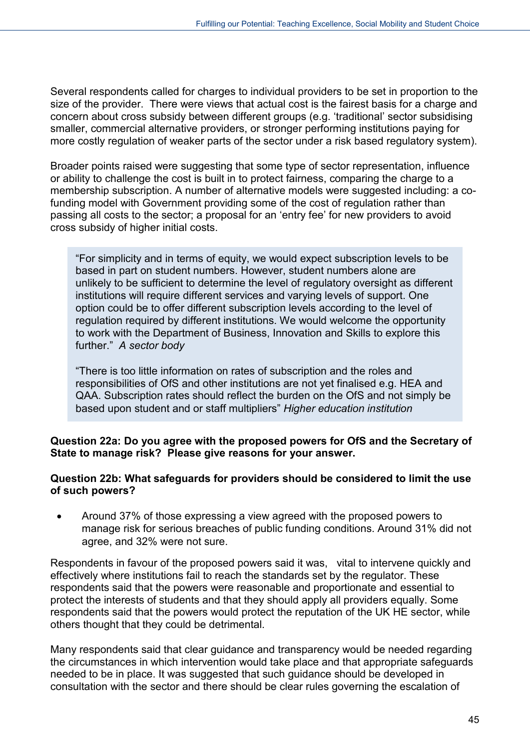Several respondents called for charges to individual providers to be set in proportion to the size of the provider. There were views that actual cost is the fairest basis for a charge and concern about cross subsidy between different groups (e.g. 'traditional' sector subsidising smaller, commercial alternative providers, or stronger performing institutions paying for more costly regulation of weaker parts of the sector under a risk based regulatory system).

Broader points raised were suggesting that some type of sector representation, influence or ability to challenge the cost is built in to protect fairness, comparing the charge to a membership subscription. A number of alternative models were suggested including: a cofunding model with Government providing some of the cost of regulation rather than passing all costs to the sector; a proposal for an 'entry fee' for new providers to avoid cross subsidy of higher initial costs.

"For simplicity and in terms of equity, we would expect subscription levels to be based in part on student numbers. However, student numbers alone are unlikely to be sufficient to determine the level of regulatory oversight as different institutions will require different services and varying levels of support. One option could be to offer different subscription levels according to the level of regulation required by different institutions. We would welcome the opportunity to work with the Department of Business, Innovation and Skills to explore this further." *A sector body*

"There is too little information on rates of subscription and the roles and responsibilities of OfS and other institutions are not yet finalised e.g. HEA and QAA. Subscription rates should reflect the burden on the OfS and not simply be based upon student and or staff multipliers" *Higher education institution*

#### **Question 22a: Do you agree with the proposed powers for OfS and the Secretary of State to manage risk? Please give reasons for your answer.**

#### **Question 22b: What safeguards for providers should be considered to limit the use of such powers?**

• Around 37% of those expressing a view agreed with the proposed powers to manage risk for serious breaches of public funding conditions. Around 31% did not agree, and 32% were not sure.

Respondents in favour of the proposed powers said it was, vital to intervene quickly and effectively where institutions fail to reach the standards set by the regulator. These respondents said that the powers were reasonable and proportionate and essential to protect the interests of students and that they should apply all providers equally. Some respondents said that the powers would protect the reputation of the UK HE sector, while others thought that they could be detrimental.

Many respondents said that clear guidance and transparency would be needed regarding the circumstances in which intervention would take place and that appropriate safeguards needed to be in place. It was suggested that such guidance should be developed in consultation with the sector and there should be clear rules governing the escalation of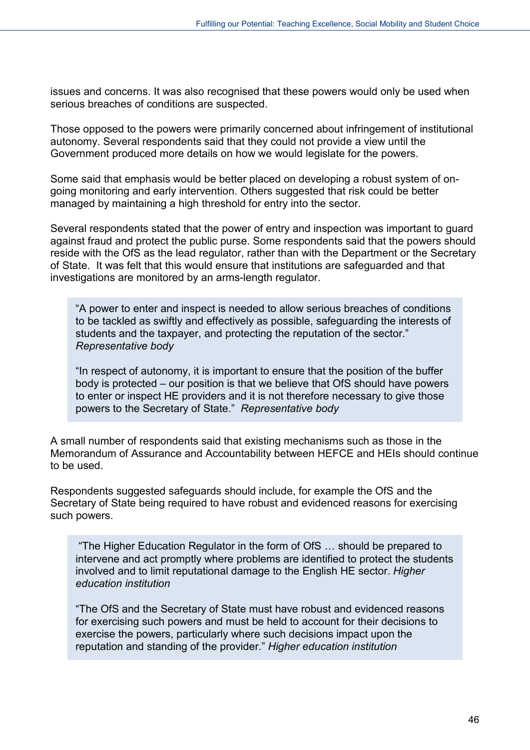issues and concerns. It was also recognised that these powers would only be used when serious breaches of conditions are suspected.

Those opposed to the powers were primarily concerned about infringement of institutional autonomy. Several respondents said that they could not provide a view until the Government produced more details on how we would legislate for the powers.

Some said that emphasis would be better placed on developing a robust system of ongoing monitoring and early intervention. Others suggested that risk could be better managed by maintaining a high threshold for entry into the sector.

Several respondents stated that the power of entry and inspection was important to guard against fraud and protect the public purse. Some respondents said that the powers should reside with the OfS as the lead regulator, rather than with the Department or the Secretary of State. It was felt that this would ensure that institutions are safeguarded and that investigations are monitored by an arms-length regulator.

"A power to enter and inspect is needed to allow serious breaches of conditions to be tackled as swiftly and effectively as possible, safeguarding the interests of students and the taxpayer, and protecting the reputation of the sector." *Representative body*

"In respect of autonomy, it is important to ensure that the position of the buffer body is protected – our position is that we believe that OfS should have powers to enter or inspect HE providers and it is not therefore necessary to give those powers to the Secretary of State." *Representative body*

A small number of respondents said that existing mechanisms such as those in the Memorandum of Assurance and Accountability between HEFCE and HEIs should continue to be used.

Respondents suggested safeguards should include, for example the OfS and the Secretary of State being required to have robust and evidenced reasons for exercising such powers.

"The Higher Education Regulator in the form of OfS … should be prepared to intervene and act promptly where problems are identified to protect the students involved and to limit reputational damage to the English HE sector. *Higher education institution*

"The OfS and the Secretary of State must have robust and evidenced reasons for exercising such powers and must be held to account for their decisions to exercise the powers, particularly where such decisions impact upon the reputation and standing of the provider." *Higher education institution*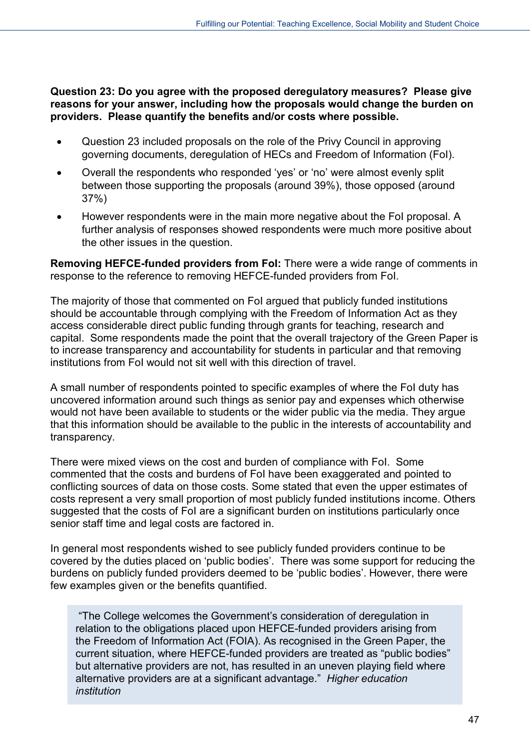**Question 23: Do you agree with the proposed deregulatory measures? Please give reasons for your answer, including how the proposals would change the burden on providers. Please quantify the benefits and/or costs where possible.**

- Question 23 included proposals on the role of the Privy Council in approving governing documents, deregulation of HECs and Freedom of Information (FoI).
- Overall the respondents who responded 'yes' or 'no' were almost evenly split between those supporting the proposals (around 39%), those opposed (around 37%)
- However respondents were in the main more negative about the FoI proposal. A further analysis of responses showed respondents were much more positive about the other issues in the question.

**Removing HEFCE-funded providers from FoI:** There were a wide range of comments in response to the reference to removing HEFCE-funded providers from FoI.

The majority of those that commented on FoI argued that publicly funded institutions should be accountable through complying with the Freedom of Information Act as they access considerable direct public funding through grants for teaching, research and capital. Some respondents made the point that the overall trajectory of the Green Paper is to increase transparency and accountability for students in particular and that removing institutions from FoI would not sit well with this direction of travel.

A small number of respondents pointed to specific examples of where the FoI duty has uncovered information around such things as senior pay and expenses which otherwise would not have been available to students or the wider public via the media. They argue that this information should be available to the public in the interests of accountability and transparency.

There were mixed views on the cost and burden of compliance with FoI. Some commented that the costs and burdens of FoI have been exaggerated and pointed to conflicting sources of data on those costs. Some stated that even the upper estimates of costs represent a very small proportion of most publicly funded institutions income. Others suggested that the costs of FoI are a significant burden on institutions particularly once senior staff time and legal costs are factored in.

In general most respondents wished to see publicly funded providers continue to be covered by the duties placed on 'public bodies'. There was some support for reducing the burdens on publicly funded providers deemed to be 'public bodies'. However, there were few examples given or the benefits quantified.

"The College welcomes the Government's consideration of deregulation in relation to the obligations placed upon HEFCE-funded providers arising from the Freedom of Information Act (FOIA). As recognised in the Green Paper, the current situation, where HEFCE-funded providers are treated as "public bodies" but alternative providers are not, has resulted in an uneven playing field where alternative providers are at a significant advantage." *Higher education institution*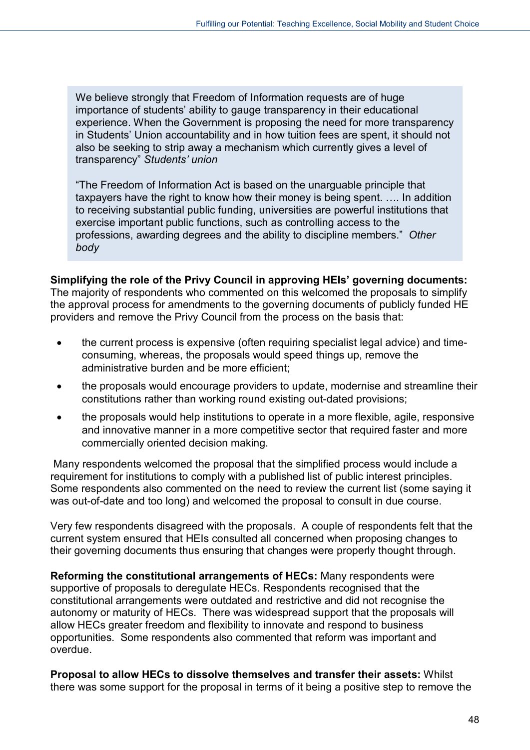We believe strongly that Freedom of Information requests are of huge importance of students' ability to gauge transparency in their educational experience. When the Government is proposing the need for more transparency in Students' Union accountability and in how tuition fees are spent, it should not also be seeking to strip away a mechanism which currently gives a level of transparency" *Students' union*

"The Freedom of Information Act is based on the unarguable principle that taxpayers have the right to know how their money is being spent. …. In addition to receiving substantial public funding, universities are powerful institutions that exercise important public functions, such as controlling access to the professions, awarding degrees and the ability to discipline members." *Other body*

**Simplifying the role of the Privy Council in approving HEIs' governing documents:** The majority of respondents who commented on this welcomed the proposals to simplify the approval process for amendments to the governing documents of publicly funded HE providers and remove the Privy Council from the process on the basis that:

- the current process is expensive (often requiring specialist legal advice) and timeconsuming, whereas, the proposals would speed things up, remove the administrative burden and be more efficient;
- the proposals would encourage providers to update, modernise and streamline their constitutions rather than working round existing out-dated provisions;
- the proposals would help institutions to operate in a more flexible, agile, responsive and innovative manner in a more competitive sector that required faster and more commercially oriented decision making.

Many respondents welcomed the proposal that the simplified process would include a requirement for institutions to comply with a published list of public interest principles. Some respondents also commented on the need to review the current list (some saying it was out-of-date and too long) and welcomed the proposal to consult in due course.

Very few respondents disagreed with the proposals. A couple of respondents felt that the current system ensured that HEIs consulted all concerned when proposing changes to their governing documents thus ensuring that changes were properly thought through.

**Reforming the constitutional arrangements of HECs:** Many respondents were supportive of proposals to deregulate HECs. Respondents recognised that the constitutional arrangements were outdated and restrictive and did not recognise the autonomy or maturity of HECs. There was widespread support that the proposals will allow HECs greater freedom and flexibility to innovate and respond to business opportunities. Some respondents also commented that reform was important and overdue.

**Proposal to allow HECs to dissolve themselves and transfer their assets:** Whilst there was some support for the proposal in terms of it being a positive step to remove the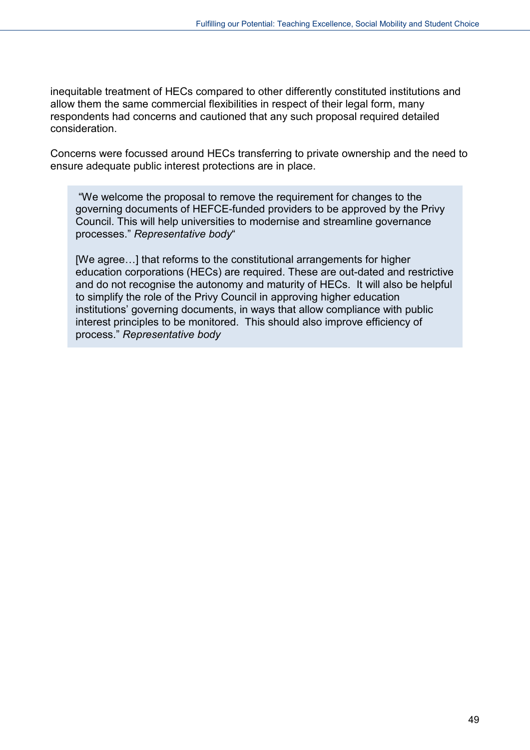inequitable treatment of HECs compared to other differently constituted institutions and allow them the same commercial flexibilities in respect of their legal form, many respondents had concerns and cautioned that any such proposal required detailed consideration.

Concerns were focussed around HECs transferring to private ownership and the need to ensure adequate public interest protections are in place.

"We welcome the proposal to remove the requirement for changes to the governing documents of HEFCE-funded providers to be approved by the Privy Council. This will help universities to modernise and streamline governance processes." *Representative body*"

[We agree…] that reforms to the constitutional arrangements for higher education corporations (HECs) are required. These are out-dated and restrictive and do not recognise the autonomy and maturity of HECs. It will also be helpful to simplify the role of the Privy Council in approving higher education institutions' governing documents, in ways that allow compliance with public interest principles to be monitored. This should also improve efficiency of process." *Representative body*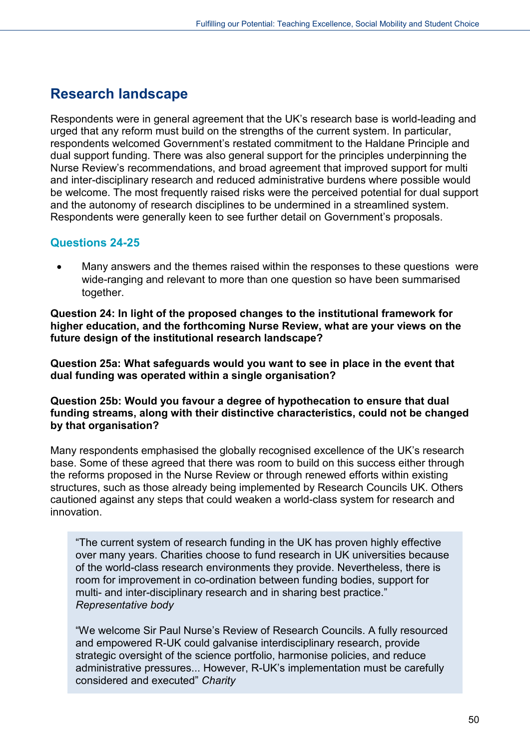## <span id="page-49-0"></span>**Research landscape**

Respondents were in general agreement that the UK's research base is world-leading and urged that any reform must build on the strengths of the current system. In particular, respondents welcomed Government's restated commitment to the Haldane Principle and dual support funding. There was also general support for the principles underpinning the Nurse Review's recommendations, and broad agreement that improved support for multi and inter-disciplinary research and reduced administrative burdens where possible would be welcome. The most frequently raised risks were the perceived potential for dual support and the autonomy of research disciplines to be undermined in a streamlined system. Respondents were generally keen to see further detail on Government's proposals.

### **Questions 24-25**

Many answers and the themes raised within the responses to these questions were wide-ranging and relevant to more than one question so have been summarised together.

**Question 24: In light of the proposed changes to the institutional framework for higher education, and the forthcoming Nurse Review, what are your views on the future design of the institutional research landscape?**

**Question 25a: What safeguards would you want to see in place in the event that dual funding was operated within a single organisation?**

**Question 25b: Would you favour a degree of hypothecation to ensure that dual funding streams, along with their distinctive characteristics, could not be changed by that organisation?** 

Many respondents emphasised the globally recognised excellence of the UK's research base. Some of these agreed that there was room to build on this success either through the reforms proposed in the Nurse Review or through renewed efforts within existing structures, such as those already being implemented by Research Councils UK. Others cautioned against any steps that could weaken a world-class system for research and innovation.

"The current system of research funding in the UK has proven highly effective over many years. Charities choose to fund research in UK universities because of the world-class research environments they provide. Nevertheless, there is room for improvement in co-ordination between funding bodies, support for multi- and inter-disciplinary research and in sharing best practice." *Representative body*

"We welcome Sir Paul Nurse's Review of Research Councils. A fully resourced and empowered R-UK could galvanise interdisciplinary research, provide strategic oversight of the science portfolio, harmonise policies, and reduce administrative pressures... However, R-UK's implementation must be carefully considered and executed" *Charity*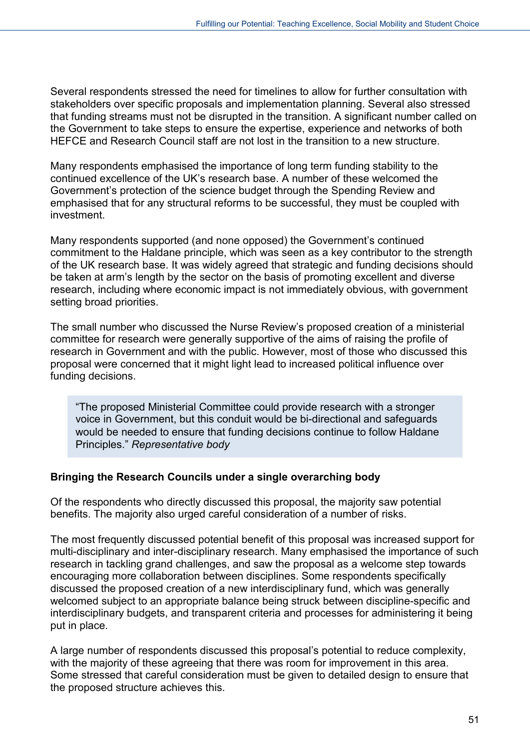Several respondents stressed the need for timelines to allow for further consultation with stakeholders over specific proposals and implementation planning. Several also stressed that funding streams must not be disrupted in the transition. A significant number called on the Government to take steps to ensure the expertise, experience and networks of both HEFCE and Research Council staff are not lost in the transition to a new structure.

Many respondents emphasised the importance of long term funding stability to the continued excellence of the UK's research base. A number of these welcomed the Government's protection of the science budget through the Spending Review and emphasised that for any structural reforms to be successful, they must be coupled with investment.

Many respondents supported (and none opposed) the Government's continued commitment to the Haldane principle, which was seen as a key contributor to the strength of the UK research base. It was widely agreed that strategic and funding decisions should be taken at arm's length by the sector on the basis of promoting excellent and diverse research, including where economic impact is not immediately obvious, with government setting broad priorities.

The small number who discussed the Nurse Review's proposed creation of a ministerial committee for research were generally supportive of the aims of raising the profile of research in Government and with the public. However, most of those who discussed this proposal were concerned that it might light lead to increased political influence over funding decisions.

"The proposed Ministerial Committee could provide research with a stronger voice in Government, but this conduit would be bi-directional and safeguards would be needed to ensure that funding decisions continue to follow Haldane Principles." *Representative body*

#### **Bringing the Research Councils under a single overarching body**

Of the respondents who directly discussed this proposal, the majority saw potential benefits. The majority also urged careful consideration of a number of risks.

The most frequently discussed potential benefit of this proposal was increased support for multi-disciplinary and inter-disciplinary research. Many emphasised the importance of such research in tackling grand challenges, and saw the proposal as a welcome step towards encouraging more collaboration between disciplines. Some respondents specifically discussed the proposed creation of a new interdisciplinary fund, which was generally welcomed subject to an appropriate balance being struck between discipline-specific and interdisciplinary budgets, and transparent criteria and processes for administering it being put in place.

A large number of respondents discussed this proposal's potential to reduce complexity, with the majority of these agreeing that there was room for improvement in this area. Some stressed that careful consideration must be given to detailed design to ensure that the proposed structure achieves this.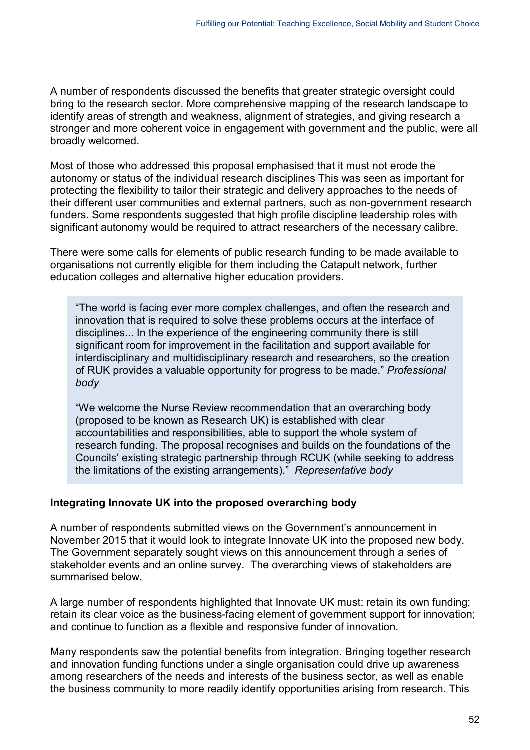A number of respondents discussed the benefits that greater strategic oversight could bring to the research sector. More comprehensive mapping of the research landscape to identify areas of strength and weakness, alignment of strategies, and giving research a stronger and more coherent voice in engagement with government and the public, were all broadly welcomed.

Most of those who addressed this proposal emphasised that it must not erode the autonomy or status of the individual research disciplines This was seen as important for protecting the flexibility to tailor their strategic and delivery approaches to the needs of their different user communities and external partners, such as non-government research funders. Some respondents suggested that high profile discipline leadership roles with significant autonomy would be required to attract researchers of the necessary calibre.

There were some calls for elements of public research funding to be made available to organisations not currently eligible for them including the Catapult network, further education colleges and alternative higher education providers.

"The world is facing ever more complex challenges, and often the research and innovation that is required to solve these problems occurs at the interface of disciplines... In the experience of the engineering community there is still significant room for improvement in the facilitation and support available for interdisciplinary and multidisciplinary research and researchers, so the creation of RUK provides a valuable opportunity for progress to be made." *Professional body*

"We welcome the Nurse Review recommendation that an overarching body (proposed to be known as Research UK) is established with clear accountabilities and responsibilities, able to support the whole system of research funding. The proposal recognises and builds on the foundations of the Councils' existing strategic partnership through RCUK (while seeking to address the limitations of the existing arrangements)." *Representative body*

#### **Integrating Innovate UK into the proposed overarching body**

A number of respondents submitted views on the Government's announcement in November 2015 that it would look to integrate Innovate UK into the proposed new body. The Government separately sought views on this announcement through a series of stakeholder events and an online survey. The overarching views of stakeholders are summarised below.

A large number of respondents highlighted that Innovate UK must: retain its own funding; retain its clear voice as the business-facing element of government support for innovation; and continue to function as a flexible and responsive funder of innovation.

Many respondents saw the potential benefits from integration. Bringing together research and innovation funding functions under a single organisation could drive up awareness among researchers of the needs and interests of the business sector, as well as enable the business community to more readily identify opportunities arising from research. This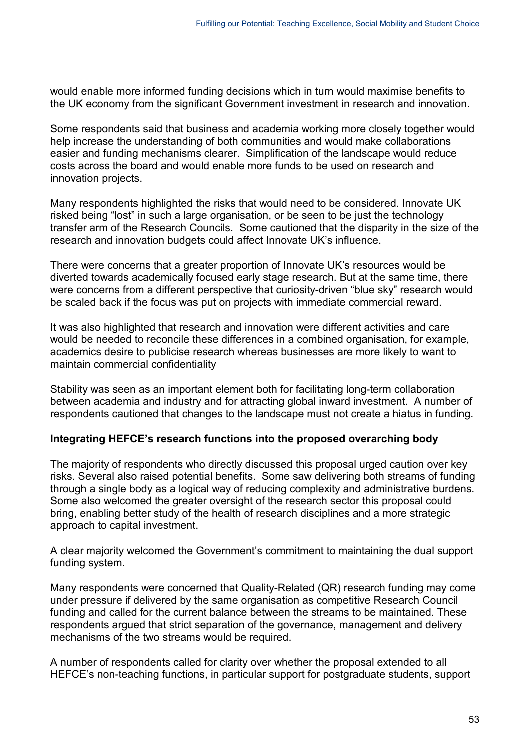would enable more informed funding decisions which in turn would maximise benefits to the UK economy from the significant Government investment in research and innovation.

Some respondents said that business and academia working more closely together would help increase the understanding of both communities and would make collaborations easier and funding mechanisms clearer. Simplification of the landscape would reduce costs across the board and would enable more funds to be used on research and innovation projects.

Many respondents highlighted the risks that would need to be considered. Innovate UK risked being "lost" in such a large organisation, or be seen to be just the technology transfer arm of the Research Councils. Some cautioned that the disparity in the size of the research and innovation budgets could affect Innovate UK's influence.

There were concerns that a greater proportion of Innovate UK's resources would be diverted towards academically focused early stage research. But at the same time, there were concerns from a different perspective that curiosity-driven "blue sky" research would be scaled back if the focus was put on projects with immediate commercial reward.

It was also highlighted that research and innovation were different activities and care would be needed to reconcile these differences in a combined organisation, for example, academics desire to publicise research whereas businesses are more likely to want to maintain commercial confidentiality

Stability was seen as an important element both for facilitating long-term collaboration between academia and industry and for attracting global inward investment. A number of respondents cautioned that changes to the landscape must not create a hiatus in funding.

#### **Integrating HEFCE's research functions into the proposed overarching body**

The majority of respondents who directly discussed this proposal urged caution over key risks. Several also raised potential benefits. Some saw delivering both streams of funding through a single body as a logical way of reducing complexity and administrative burdens. Some also welcomed the greater oversight of the research sector this proposal could bring, enabling better study of the health of research disciplines and a more strategic approach to capital investment.

A clear majority welcomed the Government's commitment to maintaining the dual support funding system.

Many respondents were concerned that Quality-Related (QR) research funding may come under pressure if delivered by the same organisation as competitive Research Council funding and called for the current balance between the streams to be maintained. These respondents argued that strict separation of the governance, management and delivery mechanisms of the two streams would be required.

A number of respondents called for clarity over whether the proposal extended to all HEFCE's non-teaching functions, in particular support for postgraduate students, support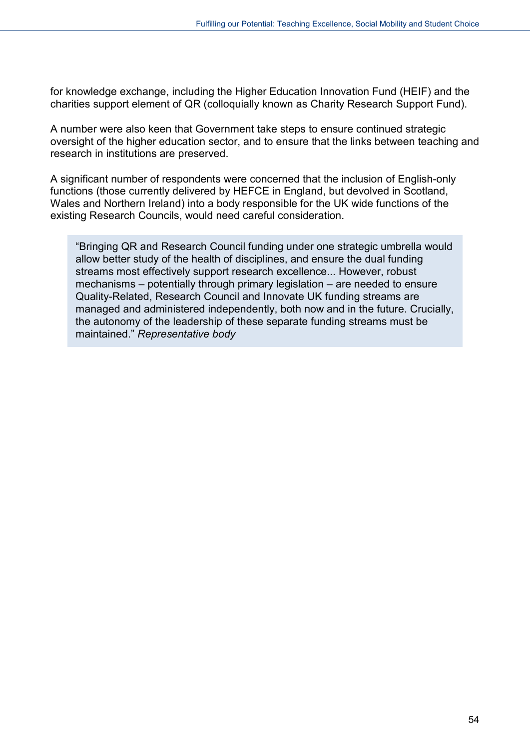for knowledge exchange, including the Higher Education Innovation Fund (HEIF) and the charities support element of QR (colloquially known as Charity Research Support Fund).

A number were also keen that Government take steps to ensure continued strategic oversight of the higher education sector, and to ensure that the links between teaching and research in institutions are preserved.

A significant number of respondents were concerned that the inclusion of English-only functions (those currently delivered by HEFCE in England, but devolved in Scotland, Wales and Northern Ireland) into a body responsible for the UK wide functions of the existing Research Councils, would need careful consideration.

"Bringing QR and Research Council funding under one strategic umbrella would allow better study of the health of disciplines, and ensure the dual funding streams most effectively support research excellence... However, robust mechanisms – potentially through primary legislation – are needed to ensure Quality-Related, Research Council and Innovate UK funding streams are managed and administered independently, both now and in the future. Crucially, the autonomy of the leadership of these separate funding streams must be maintained." *Representative body*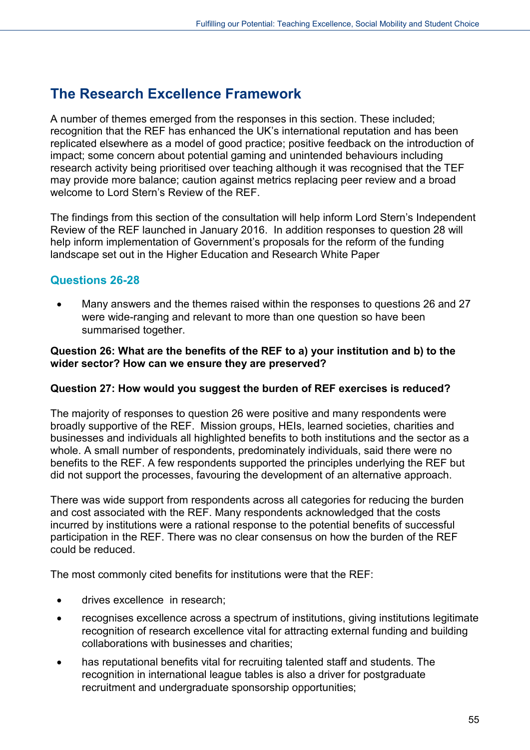## <span id="page-54-0"></span>**The Research Excellence Framework**

A number of themes emerged from the responses in this section. These included; recognition that the REF has enhanced the UK's international reputation and has been replicated elsewhere as a model of good practice; positive feedback on the introduction of impact; some concern about potential gaming and unintended behaviours including research activity being prioritised over teaching although it was recognised that the TEF may provide more balance; caution against metrics replacing peer review and a broad welcome to Lord Stern's Review of the RFF

The findings from this section of the consultation will help inform Lord Stern's Independent Review of the REF launched in January 2016. In addition responses to question 28 will help inform implementation of Government's proposals for the reform of the funding landscape set out in the Higher Education and Research White Paper

### **Questions 26-28**

• Many answers and the themes raised within the responses to questions 26 and 27 were wide-ranging and relevant to more than one question so have been summarised together.

#### **Question 26: What are the benefits of the REF to a) your institution and b) to the wider sector? How can we ensure they are preserved?**

#### **Question 27: How would you suggest the burden of REF exercises is reduced?**

The majority of responses to question 26 were positive and many respondents were broadly supportive of the REF. Mission groups, HEIs, learned societies, charities and businesses and individuals all highlighted benefits to both institutions and the sector as a whole. A small number of respondents, predominately individuals, said there were no benefits to the REF. A few respondents supported the principles underlying the REF but did not support the processes, favouring the development of an alternative approach.

There was wide support from respondents across all categories for reducing the burden and cost associated with the REF. Many respondents acknowledged that the costs incurred by institutions were a rational response to the potential benefits of successful participation in the REF. There was no clear consensus on how the burden of the REF could be reduced.

The most commonly cited benefits for institutions were that the REF:

- drives excellence in research;
- recognises excellence across a spectrum of institutions, giving institutions legitimate recognition of research excellence vital for attracting external funding and building collaborations with businesses and charities;
- has reputational benefits vital for recruiting talented staff and students. The recognition in international league tables is also a driver for postgraduate recruitment and undergraduate sponsorship opportunities;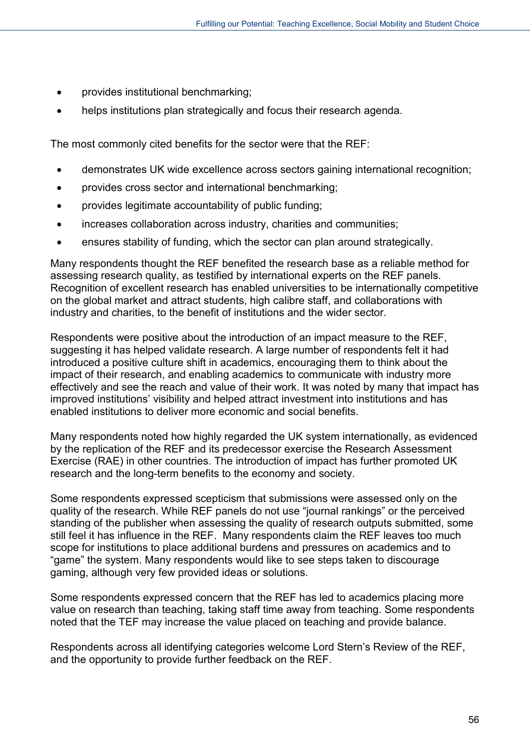- provides institutional benchmarking;
- helps institutions plan strategically and focus their research agenda.

The most commonly cited benefits for the sector were that the REF:

- demonstrates UK wide excellence across sectors gaining international recognition;
- provides cross sector and international benchmarking;
- provides legitimate accountability of public funding;
- increases collaboration across industry, charities and communities;
- ensures stability of funding, which the sector can plan around strategically.

Many respondents thought the REF benefited the research base as a reliable method for assessing research quality, as testified by international experts on the REF panels. Recognition of excellent research has enabled universities to be internationally competitive on the global market and attract students, high calibre staff, and collaborations with industry and charities, to the benefit of institutions and the wider sector.

Respondents were positive about the introduction of an impact measure to the REF, suggesting it has helped validate research. A large number of respondents felt it had introduced a positive culture shift in academics, encouraging them to think about the impact of their research, and enabling academics to communicate with industry more effectively and see the reach and value of their work. It was noted by many that impact has improved institutions' visibility and helped attract investment into institutions and has enabled institutions to deliver more economic and social benefits.

Many respondents noted how highly regarded the UK system internationally, as evidenced by the replication of the REF and its predecessor exercise the Research Assessment Exercise (RAE) in other countries. The introduction of impact has further promoted UK research and the long-term benefits to the economy and society.

Some respondents expressed scepticism that submissions were assessed only on the quality of the research. While REF panels do not use "journal rankings" or the perceived standing of the publisher when assessing the quality of research outputs submitted, some still feel it has influence in the REF. Many respondents claim the REF leaves too much scope for institutions to place additional burdens and pressures on academics and to "game" the system. Many respondents would like to see steps taken to discourage gaming, although very few provided ideas or solutions.

Some respondents expressed concern that the REF has led to academics placing more value on research than teaching, taking staff time away from teaching. Some respondents noted that the TEF may increase the value placed on teaching and provide balance.

Respondents across all identifying categories welcome Lord Stern's Review of the REF, and the opportunity to provide further feedback on the REF.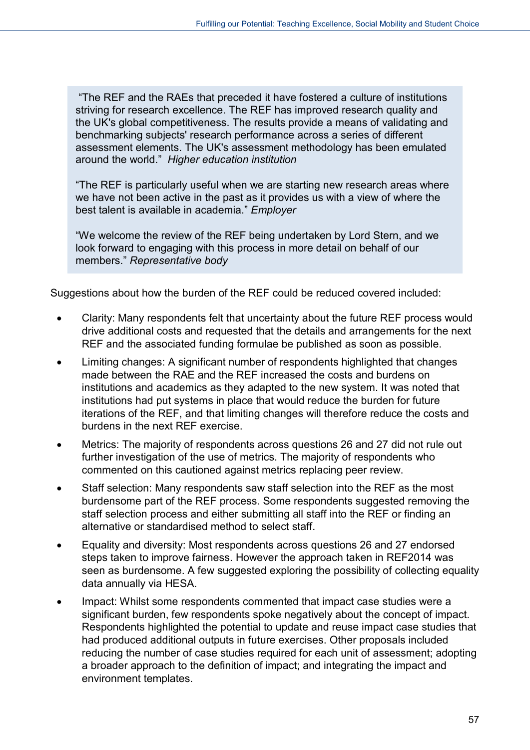"The REF and the RAEs that preceded it have fostered a culture of institutions striving for research excellence. The REF has improved research quality and the UK's global competitiveness. The results provide a means of validating and benchmarking subjects' research performance across a series of different assessment elements. The UK's assessment methodology has been emulated around the world." *Higher education institution*

"The REF is particularly useful when we are starting new research areas where we have not been active in the past as it provides us with a view of where the best talent is available in academia." *Employer*

"We welcome the review of the REF being undertaken by Lord Stern, and we look forward to engaging with this process in more detail on behalf of our members." *Representative body*

Suggestions about how the burden of the REF could be reduced covered included:

- Clarity: Many respondents felt that uncertainty about the future REF process would drive additional costs and requested that the details and arrangements for the next REF and the associated funding formulae be published as soon as possible.
- Limiting changes: A significant number of respondents highlighted that changes made between the RAE and the REF increased the costs and burdens on institutions and academics as they adapted to the new system. It was noted that institutions had put systems in place that would reduce the burden for future iterations of the REF, and that limiting changes will therefore reduce the costs and burdens in the next REF exercise.
- Metrics: The majority of respondents across questions 26 and 27 did not rule out further investigation of the use of metrics. The majority of respondents who commented on this cautioned against metrics replacing peer review.
- Staff selection: Many respondents saw staff selection into the REF as the most burdensome part of the REF process. Some respondents suggested removing the staff selection process and either submitting all staff into the REF or finding an alternative or standardised method to select staff.
- Equality and diversity: Most respondents across questions 26 and 27 endorsed steps taken to improve fairness. However the approach taken in REF2014 was seen as burdensome. A few suggested exploring the possibility of collecting equality data annually via HESA.
- Impact: Whilst some respondents commented that impact case studies were a significant burden, few respondents spoke negatively about the concept of impact. Respondents highlighted the potential to update and reuse impact case studies that had produced additional outputs in future exercises. Other proposals included reducing the number of case studies required for each unit of assessment; adopting a broader approach to the definition of impact; and integrating the impact and environment templates.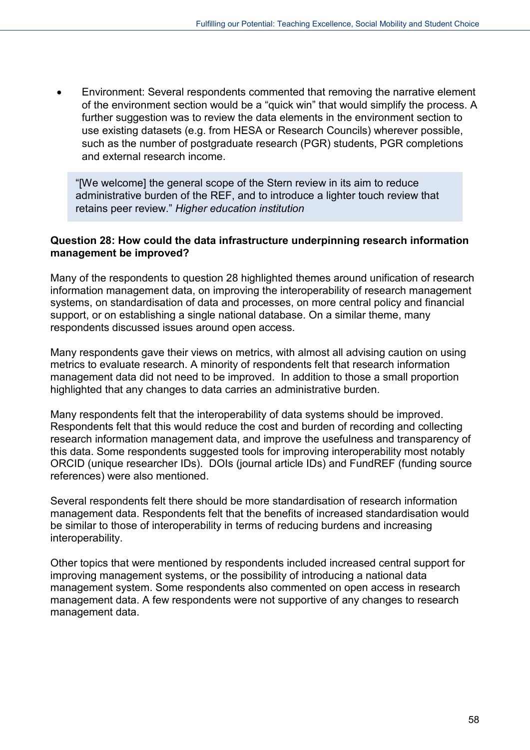• Environment: Several respondents commented that removing the narrative element of the environment section would be a "quick win" that would simplify the process. A further suggestion was to review the data elements in the environment section to use existing datasets (e.g. from HESA or Research Councils) wherever possible, such as the number of postgraduate research (PGR) students, PGR completions and external research income.

"[We welcome] the general scope of the Stern review in its aim to reduce administrative burden of the REF, and to introduce a lighter touch review that retains peer review." *Higher education institution*

#### **Question 28: How could the data infrastructure underpinning research information management be improved?**

Many of the respondents to question 28 highlighted themes around unification of research information management data, on improving the interoperability of research management systems, on standardisation of data and processes, on more central policy and financial support, or on establishing a single national database. On a similar theme, many respondents discussed issues around open access.

Many respondents gave their views on metrics, with almost all advising caution on using metrics to evaluate research. A minority of respondents felt that research information management data did not need to be improved. In addition to those a small proportion highlighted that any changes to data carries an administrative burden.

Many respondents felt that the interoperability of data systems should be improved. Respondents felt that this would reduce the cost and burden of recording and collecting research information management data, and improve the usefulness and transparency of this data. Some respondents suggested tools for improving interoperability most notably ORCID (unique researcher IDs). DOIs (journal article IDs) and FundREF (funding source references) were also mentioned.

Several respondents felt there should be more standardisation of research information management data. Respondents felt that the benefits of increased standardisation would be similar to those of interoperability in terms of reducing burdens and increasing interoperability.

<span id="page-57-0"></span>Other topics that were mentioned by respondents included increased central support for improving management systems, or the possibility of introducing a national data management system. Some respondents also commented on open access in research management data. A few respondents were not supportive of any changes to research management data.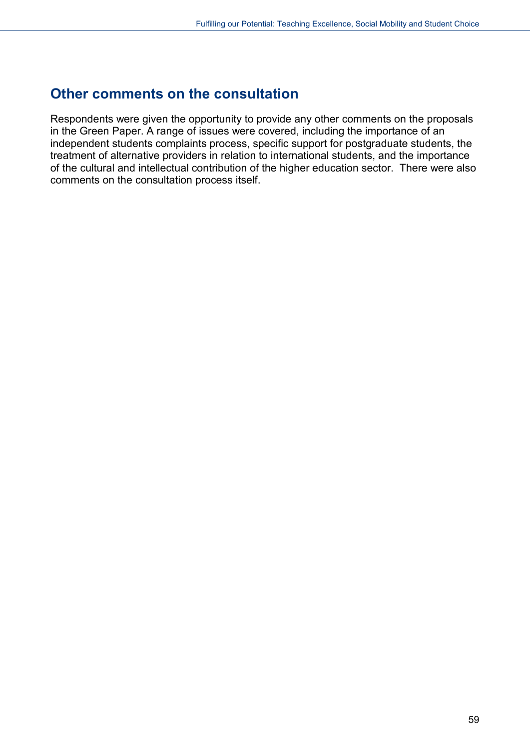## **Other comments on the consultation**

Respondents were given the opportunity to provide any other comments on the proposals in the Green Paper. A range of issues were covered, including the importance of an independent students complaints process, specific support for postgraduate students, the treatment of alternative providers in relation to international students, and the importance of the cultural and intellectual contribution of the higher education sector. There were also comments on the consultation process itself.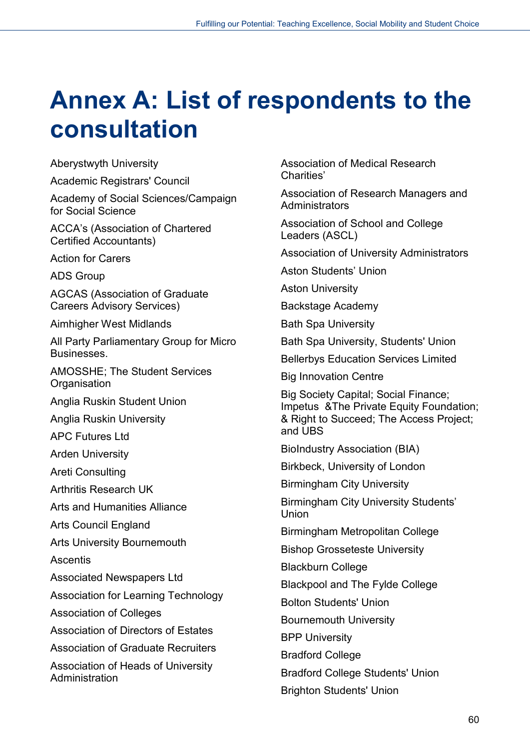# **Annex A: List of respondents to the consultation**

Aberystwyth University

Academic Registrars' Council

Academy of Social Sciences/Campaign for Social Science

ACCA's (Association of Chartered Certified Accountants)

Action for Carers

ADS Group

AGCAS (Association of Graduate Careers Advisory Services)

Aimhigher West Midlands

All Party Parliamentary Group for Micro Businesses.

AMOSSHE; The Student Services **Organisation** 

Anglia Ruskin Student Union

Anglia Ruskin University

APC Futures Ltd

Arden University

Areti Consulting

Arthritis Research UK

Arts and Humanities Alliance

Arts Council England

Arts University Bournemouth

Ascentis

Associated Newspapers Ltd

Association for Learning Technology

Association of Colleges

Association of Directors of Estates

Association of Graduate Recruiters

Association of Heads of University Administration

Association of Medical Research Charities'

Association of Research Managers and **Administrators** 

Association of School and College Leaders (ASCL)

Association of University Administrators

Aston Students' Union

Aston University

Backstage Academy

Bath Spa University

Bath Spa University, Students' Union

Bellerbys Education Services Limited

Big Innovation Centre

Big Society Capital; Social Finance; Impetus & The Private Equity Foundation: & Right to Succeed; The Access Project; and UBS

BioIndustry Association (BIA)

Birkbeck, University of London

Birmingham City University

Birmingham City University Students' **Union** 

Birmingham Metropolitan College

Bishop Grosseteste University

Blackburn College

Blackpool and The Fylde College

Bolton Students' Union

Bournemouth University

BPP University

Bradford College

Bradford College Students' Union

Brighton Students' Union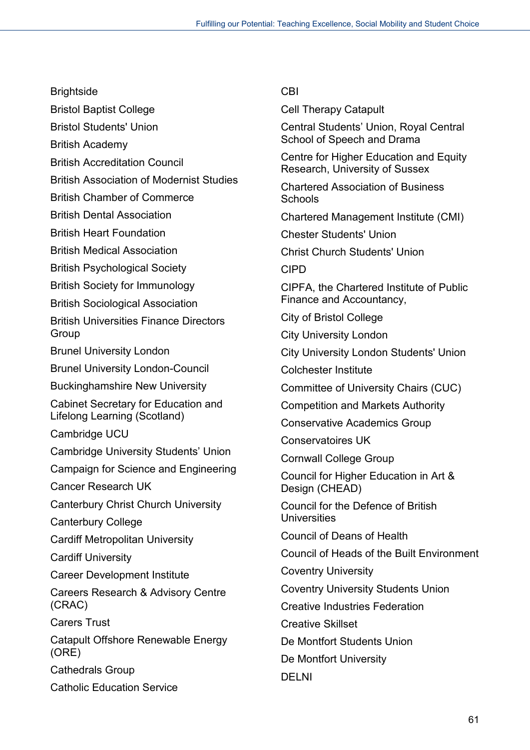**Brightside** 

Bristol Baptist College

Bristol Students' Union

British Academy

British Accreditation Council

British Association of Modernist Studies

British Chamber of Commerce

British Dental Association

British Heart Foundation

British Medical Association

British Psychological Society

British Society for Immunology

British Sociological Association

British Universities Finance Directors Group

Brunel University London

Brunel University London-Council

Buckinghamshire New University

Cabinet Secretary for Education and Lifelong Learning (Scotland)

Cambridge UCU

Cambridge University Students' Union

Campaign for Science and Engineering

Cancer Research UK

Canterbury Christ Church University

Canterbury College

Cardiff Metropolitan University

Cardiff University

Career Development Institute

Careers Research & Advisory Centre (CRAC)

Carers Trust

Catapult Offshore Renewable Energy (ORE)

Cathedrals Group

Catholic Education Service

### CBI

Cell Therapy Catapult

Central Students' Union, Royal Central School of Speech and Drama

Centre for Higher Education and Equity Research, University of Sussex

Chartered Association of Business **Schools** 

Chartered Management Institute (CMI)

Chester Students' Union

Christ Church Students' Union

CIPD

CIPFA, the Chartered Institute of Public Finance and Accountancy,

City of Bristol College

City University London

City University London Students' Union

Colchester Institute

Committee of University Chairs (CUC)

Competition and Markets Authority

Conservative Academics Group

Conservatoires UK

Cornwall College Group

Council for Higher Education in Art & Design (CHEAD)

Council for the Defence of British **Universities** 

Council of Deans of Health

Council of Heads of the Built Environment

Coventry University

Coventry University Students Union

Creative Industries Federation

Creative Skillset

De Montfort Students Union

De Montfort University

DELNI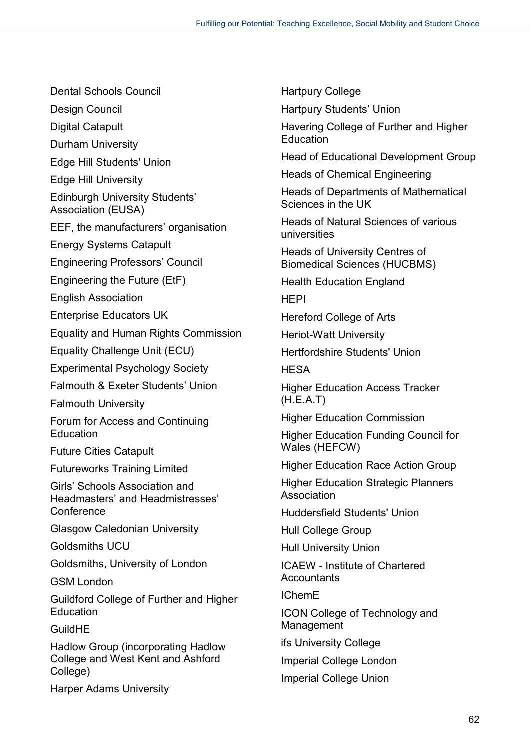Dental Schools Council

Design Council

Digital Catapult

Durham University

Edge Hill Students' Union

Edge Hill University

Edinburgh University Students' Association (EUSA)

EEF, the manufacturers' organisation

Energy Systems Catapult

Engineering Professors' Council

Engineering the Future (EtF)

English Association

Enterprise Educators UK

Equality and Human Rights Commission

Equality Challenge Unit (ECU)

Experimental Psychology Society

Falmouth & Exeter Students' Union

Falmouth University

Forum for Access and Continuing **Education** 

Future Cities Catapult

Futureworks Training Limited

Girls' Schools Association and Headmasters' and Headmistresses' **Conference** 

Glasgow Caledonian University

Goldsmiths UCU

Goldsmiths, University of London

GSM London

Guildford College of Further and Higher **Education** 

GuildHE

Hadlow Group (incorporating Hadlow College and West Kent and Ashford College)

Harper Adams University

Hartpury College

Hartpury Students' Union

Havering College of Further and Higher **Education** 

Head of Educational Development Group

Heads of Chemical Engineering

Heads of Departments of Mathematical Sciences in the UK

Heads of Natural Sciences of various universities

Heads of University Centres of Biomedical Sciences (HUCBMS)

Health Education England

HEPI

Hereford College of Arts

Heriot-Watt University

Hertfordshire Students' Union

**HESA** 

Higher Education Access Tracker (H.E.A.T)

Higher Education Commission

Higher Education Funding Council for Wales (HEFCW)

Higher Education Race Action Group

Higher Education Strategic Planners Association

Huddersfield Students' Union

Hull College Group

Hull University Union

ICAEW - Institute of Chartered **Accountants** 

IChemE

ICON College of Technology and Management

ifs University College

Imperial College London

Imperial College Union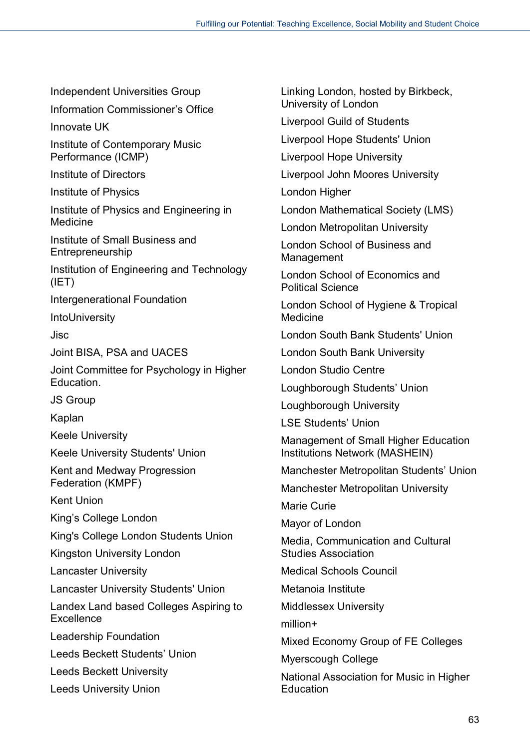Independent Universities Group

Information Commissioner's Office

Innovate UK

Institute of Contemporary Music Performance (ICMP)

Institute of Directors

Institute of Physics

Institute of Physics and Engineering in Medicine

Institute of Small Business and Entrepreneurship

Institution of Engineering and Technology (IET)

Intergenerational Foundation

**IntoUniversity** 

Jisc

Joint BISA, PSA and UACES

Joint Committee for Psychology in Higher Education.

JS Group

Kaplan

Keele University

Keele University Students' Union

Kent and Medway Progression Federation (KMPF)

Kent Union

King's College London

King's College London Students Union

Kingston University London

Lancaster University

Lancaster University Students' Union

Landex Land based Colleges Aspiring to **Excellence** 

Leadership Foundation

Leeds Beckett Students' Union

Leeds Beckett University

Leeds University Union

Linking London, hosted by Birkbeck, University of London

Liverpool Guild of Students

Liverpool Hope Students' Union

Liverpool Hope University

Liverpool John Moores University

London Higher

London Mathematical Society (LMS)

London Metropolitan University

London School of Business and Management

London School of Economics and Political Science

London School of Hygiene & Tropical Medicine

London South Bank Students' Union

London South Bank University

London Studio Centre

Loughborough Students' Union

Loughborough University

LSE Students' Union

Management of Small Higher Education Institutions Network (MASHEIN)

Manchester Metropolitan Students' Union

Manchester Metropolitan University

Marie Curie

Mayor of London

Media, Communication and Cultural Studies Association

Medical Schools Council

Metanoia Institute

Middlessex University

million+

Mixed Economy Group of FE Colleges

Myerscough College

National Association for Music in Higher **Education**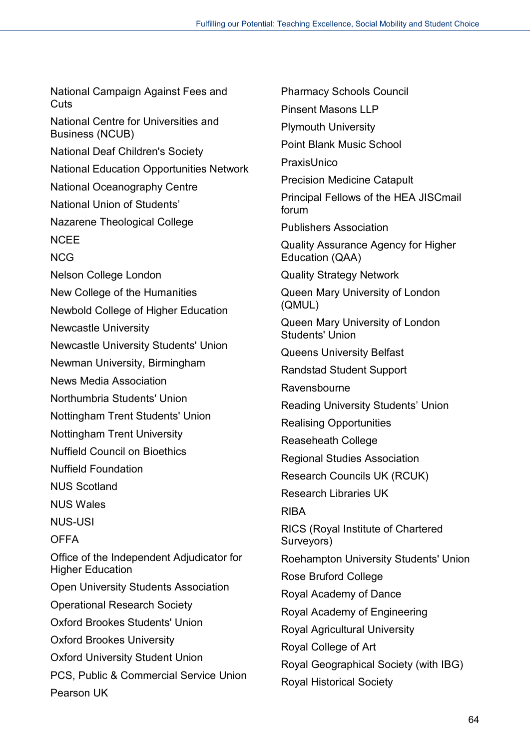National Campaign Against Fees and **Cuts** National Centre for Universities and Business (NCUB) National Deaf Children's Society National Education Opportunities Network National Oceanography Centre National Union of Students' Nazarene Theological College **NCEE** NCG Nelson College London New College of the Humanities Newbold College of Higher Education Newcastle University Newcastle University Students' Union Newman University, Birmingham News Media Association Northumbria Students' Union Nottingham Trent Students' Union Nottingham Trent University Nuffield Council on Bioethics Nuffield Foundation NUS Scotland NUS Wales NUS-USI OFFA Office of the Independent Adjudicator for Higher Education Open University Students Association Operational Research Society Oxford Brookes Students' Union Oxford Brookes University Oxford University Student Union PCS, Public & Commercial Service Union Pearson UK

Pharmacy Schools Council Pinsent Masons LLP Plymouth University Point Blank Music School PraxisUnico Precision Medicine Catapult Principal Fellows of the HEA JISCmail forum Publishers Association Quality Assurance Agency for Higher Education (QAA) Quality Strategy Network Queen Mary University of London (QMUL) Queen Mary University of London Students' Union Queens University Belfast Randstad Student Support Ravensbourne Reading University Students' Union Realising Opportunities Reaseheath College Regional Studies Association Research Councils UK (RCUK) Research Libraries UK RIBA RICS (Royal Institute of Chartered Surveyors) Roehampton University Students' Union Rose Bruford College Royal Academy of Dance Royal Academy of Engineering Royal Agricultural University Royal College of Art Royal Geographical Society (with IBG) Royal Historical Society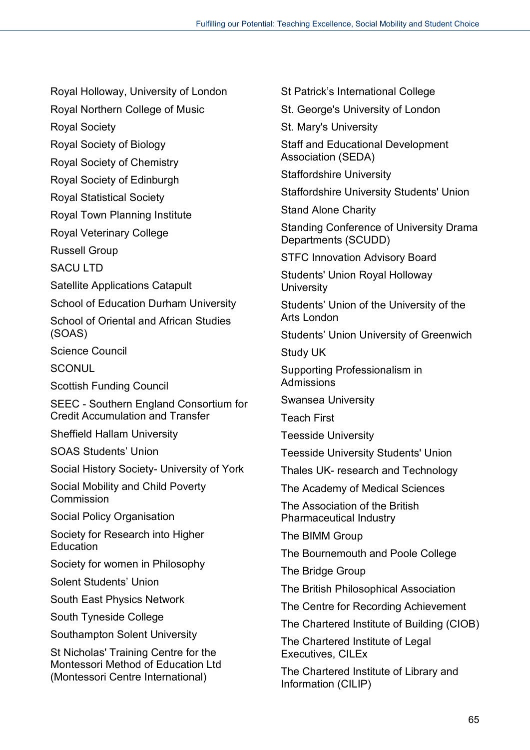Royal Holloway, University of London

Royal Northern College of Music

Royal Society

Royal Society of Biology

Royal Society of Chemistry

Royal Society of Edinburgh

Royal Statistical Society

Royal Town Planning Institute

Royal Veterinary College

Russell Group

SACU LTD

Satellite Applications Catapult

School of Education Durham University

School of Oriental and African Studies (SOAS)

Science Council

**SCONUL** 

Scottish Funding Council

SEEC - Southern England Consortium for Credit Accumulation and Transfer

Sheffield Hallam University

SOAS Students' Union

Social History Society- University of York

Social Mobility and Child Poverty Commission

Social Policy Organisation

Society for Research into Higher **Education** 

Society for women in Philosophy

Solent Students' Union

South East Physics Network

South Tyneside College

Southampton Solent University

St Nicholas' Training Centre for the Montessori Method of Education Ltd (Montessori Centre International)

St Patrick's International College

St. George's University of London

St. Mary's University

Staff and Educational Development Association (SEDA)

Staffordshire University

Staffordshire University Students' Union

Stand Alone Charity

Standing Conference of University Drama Departments (SCUDD)

STFC Innovation Advisory Board

Students' Union Royal Holloway **University** 

Students' Union of the University of the Arts London

Students' Union University of Greenwich

Study UK

Supporting Professionalism in Admissions

Swansea University

Teach First

Teesside University

Teesside University Students' Union

Thales UK- research and Technology

The Academy of Medical Sciences

The Association of the British Pharmaceutical Industry

The BIMM Group

The Bournemouth and Poole College

The Bridge Group

The British Philosophical Association

The Centre for Recording Achievement

The Chartered Institute of Building (CIOB)

The Chartered Institute of Legal Executives, CILEx

The Chartered Institute of Library and Information (CILIP)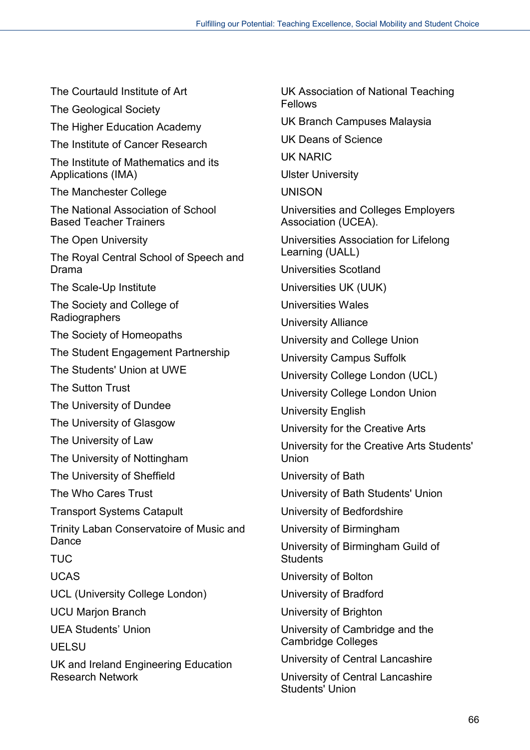The Courtauld Institute of Art The Geological Society The Higher Education Academy The Institute of Cancer Research The Institute of Mathematics and its Applications (IMA) The Manchester College The National Association of School Based Teacher Trainers The Open University The Royal Central School of Speech and Drama The Scale-Up Institute The Society and College of Radiographers The Society of Homeopaths The Student Engagement Partnership The Students' Union at UWE The Sutton Trust The University of Dundee The University of Glasgow The University of Law The University of Nottingham The University of Sheffield The Who Cares Trust Transport Systems Catapult Trinity Laban Conservatoire of Music and Dance **TUC** UCAS UCL (University College London) UCU Marjon Branch UEA Students' Union UELSU UK and Ireland Engineering Education Research Network

UK Association of National Teaching Fellows UK Branch Campuses Malaysia UK Deans of Science UK NARIC Ulster University UNISON Universities and Colleges Employers Association (UCEA). Universities Association for Lifelong Learning (UALL) Universities Scotland Universities UK (UUK) Universities Wales University Alliance University and College Union University Campus Suffolk University College London (UCL) University College London Union University English University for the Creative Arts University for the Creative Arts Students' Union University of Bath University of Bath Students' Union University of Bedfordshire University of Birmingham University of Birmingham Guild of **Students** University of Bolton University of Bradford University of Brighton University of Cambridge and the Cambridge Colleges University of Central Lancashire

University of Central Lancashire Students' Union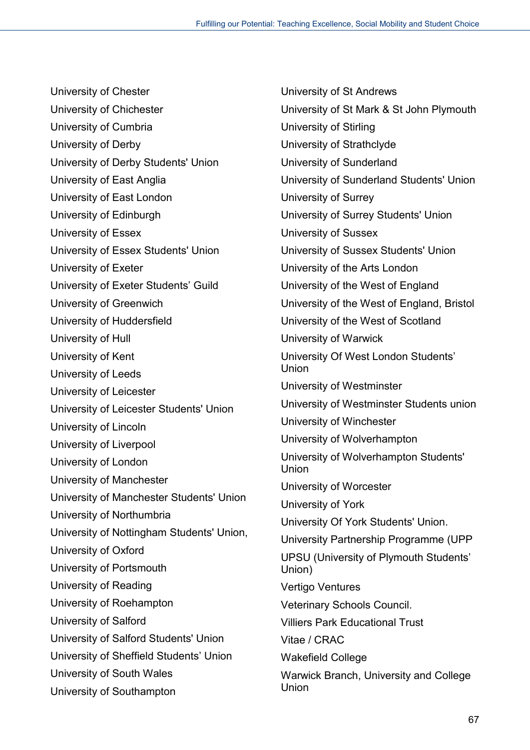University of Chester University of Chichester University of Cumbria University of Derby University of Derby Students' Union University of East Anglia University of East London University of Edinburgh University of Essex University of Essex Students' Union University of Exeter University of Exeter Students' Guild University of Greenwich University of Huddersfield University of Hull University of Kent University of Leeds University of Leicester University of Leicester Students' Union University of Lincoln University of Liverpool University of London University of Manchester University of Manchester Students' Union University of Northumbria University of Nottingham Students' Union, University of Oxford University of Portsmouth University of Reading University of Roehampton University of Salford University of Salford Students' Union University of Sheffield Students' Union University of South Wales University of Southampton

University of St Andrews University of St Mark & St John Plymouth University of Stirling University of Strathclyde University of Sunderland University of Sunderland Students' Union University of Surrey University of Surrey Students' Union University of Sussex University of Sussex Students' Union University of the Arts London University of the West of England University of the West of England, Bristol University of the West of Scotland University of Warwick University Of West London Students' Union University of Westminster University of Westminster Students union University of Winchester University of Wolverhampton University of Wolverhampton Students' Union University of Worcester University of York University Of York Students' Union. University Partnership Programme (UPP UPSU (University of Plymouth Students' Union) Vertigo Ventures Veterinary Schools Council. Villiers Park Educational Trust Vitae / CRAC Wakefield College Warwick Branch, University and College Union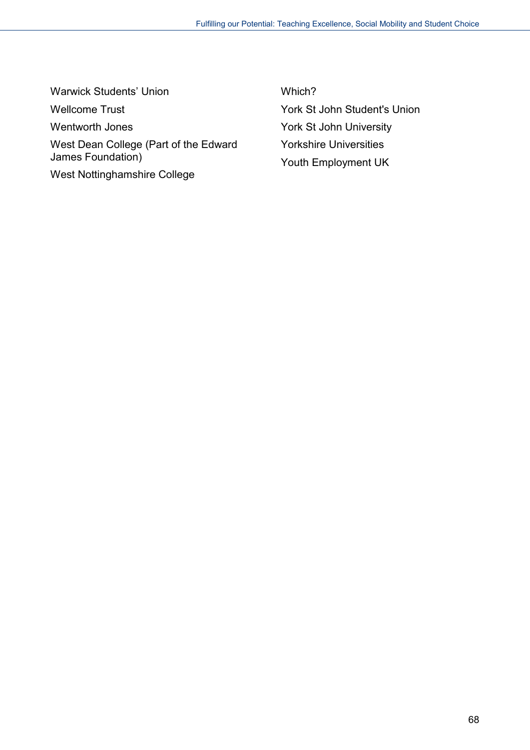Warwick Students' Union Wellcome Trust Wentworth Jones West Dean College (Part of the Edward James Foundation) West Nottinghamshire College

Which? York St John Student's Union York St John University Yorkshire Universities Youth Employment UK